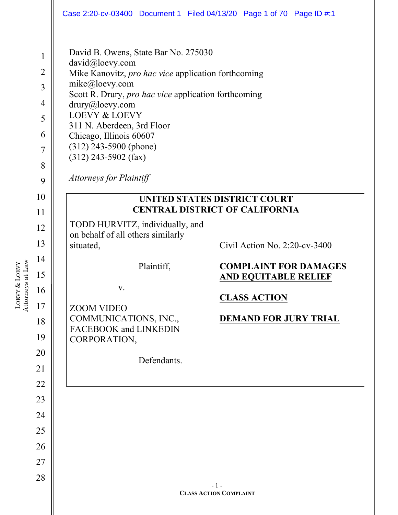|                                                                                             | Case 2:20-cv-03400 Document 1 Filed 04/13/20 Page 1 of 70 Page ID #:1                                                                                                                                                                                                                                                                                                                    |                                        |
|---------------------------------------------------------------------------------------------|------------------------------------------------------------------------------------------------------------------------------------------------------------------------------------------------------------------------------------------------------------------------------------------------------------------------------------------------------------------------------------------|----------------------------------------|
| $\mathbf{1}$<br>$\overline{2}$<br>$\overline{3}$<br>4<br>5<br>6<br>$\overline{7}$<br>8<br>9 | David B. Owens, State Bar No. 275030<br>david@loevy.com<br>Mike Kanovitz, pro hac vice application forthcoming<br>mike@loevy.com<br>Scott R. Drury, pro hac vice application forthcoming<br>drury@loevy.com<br><b>LOEVY &amp; LOEVY</b><br>311 N. Aberdeen, 3rd Floor<br>Chicago, Illinois 60607<br>$(312)$ 243-5900 (phone)<br>$(312)$ 243-5902 (fax)<br><b>Attorneys for Plaintiff</b> |                                        |
| 10                                                                                          |                                                                                                                                                                                                                                                                                                                                                                                          | <b>UNITED STATES DISTRICT COURT</b>    |
| 11                                                                                          |                                                                                                                                                                                                                                                                                                                                                                                          | <b>CENTRAL DISTRICT OF CALIFORNIA</b>  |
| 12                                                                                          | TODD HURVITZ, individually, and                                                                                                                                                                                                                                                                                                                                                          |                                        |
| 13                                                                                          | on behalf of all others similarly<br>situated,                                                                                                                                                                                                                                                                                                                                           | Civil Action No. $2:20$ -cv-3400       |
| 14<br>15                                                                                    | Plaintiff,                                                                                                                                                                                                                                                                                                                                                                               | <b>COMPLAINT FOR DAMAGES</b>           |
| 16                                                                                          | V.                                                                                                                                                                                                                                                                                                                                                                                       | <b>AND EQUITABLE RELIEF</b>            |
| 17                                                                                          |                                                                                                                                                                                                                                                                                                                                                                                          | <b>CLASS ACTION</b>                    |
| 18                                                                                          | <b>ZOOM VIDEO</b><br>COMMUNICATIONS, INC.,                                                                                                                                                                                                                                                                                                                                               | <b>DEMAND FOR JURY TRIAL</b>           |
| 19                                                                                          | FACEBOOK and LINKEDIN                                                                                                                                                                                                                                                                                                                                                                    |                                        |
| 20                                                                                          | CORPORATION,                                                                                                                                                                                                                                                                                                                                                                             |                                        |
| 21                                                                                          | Defendants.                                                                                                                                                                                                                                                                                                                                                                              |                                        |
| 22                                                                                          |                                                                                                                                                                                                                                                                                                                                                                                          |                                        |
| 23                                                                                          |                                                                                                                                                                                                                                                                                                                                                                                          |                                        |
| 24                                                                                          |                                                                                                                                                                                                                                                                                                                                                                                          |                                        |
| 25                                                                                          |                                                                                                                                                                                                                                                                                                                                                                                          |                                        |
| 26                                                                                          |                                                                                                                                                                                                                                                                                                                                                                                          |                                        |
| 27                                                                                          |                                                                                                                                                                                                                                                                                                                                                                                          |                                        |
| 28                                                                                          |                                                                                                                                                                                                                                                                                                                                                                                          |                                        |
|                                                                                             |                                                                                                                                                                                                                                                                                                                                                                                          | $-1-$<br><b>CLASS ACTION COMPLAINT</b> |
|                                                                                             |                                                                                                                                                                                                                                                                                                                                                                                          |                                        |

LOEVY &

Attorneys at Law

LOEVY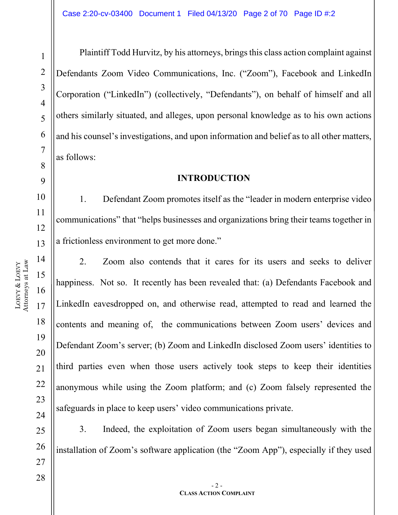1

2

3

4

5

6

7

8

9

10

11

13

14

15

16

17

18

19

20

21

22

23

24

25

26

27

Plaintiff Todd Hurvitz, by his attorneys, brings this class action complaint against Defendants Zoom Video Communications, Inc. ("Zoom"), Facebook and LinkedIn Corporation ("LinkedIn") (collectively, "Defendants"), on behalf of himself and all others similarly situated, and alleges, upon personal knowledge as to his own actions and his counsel's investigations, and upon information and belief as to all other matters, as follows:

#### **INTRODUCTION**

1. Defendant Zoom promotes itself as the "leader in modern enterprise video communications" that "helps businesses and organizations bring their teams together in a frictionless environment to get more done."

2. Zoom also contends that it cares for its users and seeks to deliver happiness. Not so. It recently has been revealed that: (a) Defendants Facebook and LinkedIn eavesdropped on, and otherwise read, attempted to read and learned the contents and meaning of, the communications between Zoom users' devices and Defendant Zoom's server; (b) Zoom and LinkedIn disclosed Zoom users' identities to third parties even when those users actively took steps to keep their identities anonymous while using the Zoom platform; and (c) Zoom falsely represented the safeguards in place to keep users' video communications private.

3. Indeed, the exploitation of Zoom users began simultaneously with the installation of Zoom's software application (the "Zoom App"), especially if they used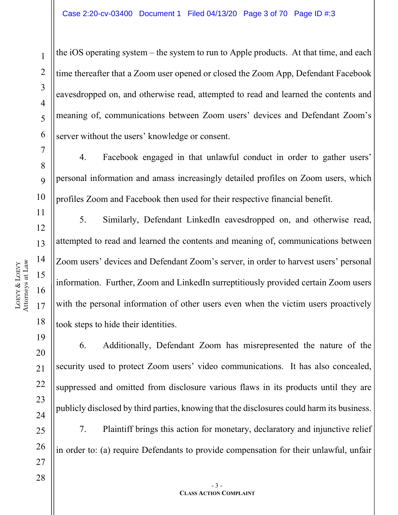LOEVY &

LOEVY

22

23

24

25

26

27

28

1

2

3

4

5

6

7

8

 $\overline{Q}$ 

the iOS operating system – the system to run to Apple products. At that time, and each time thereafter that a Zoom user opened or closed the Zoom App, Defendant Facebook eavesdropped on, and otherwise read, attempted to read and learned the contents and meaning of, communications between Zoom users' devices and Defendant Zoom's server without the users' knowledge or consent.

4. Facebook engaged in that unlawful conduct in order to gather users' personal information and amass increasingly detailed profiles on Zoom users, which profiles Zoom and Facebook then used for their respective financial benefit.

5. Similarly, Defendant LinkedIn eavesdropped on, and otherwise read, attempted to read and learned the contents and meaning of, communications between Zoom users' devices and Defendant Zoom's server, in order to harvest users' personal information. Further, Zoom and LinkedIn surreptitiously provided certain Zoom users with the personal information of other users even when the victim users proactively took steps to hide their identities.

6. Additionally, Defendant Zoom has misrepresented the nature of the security used to protect Zoom users' video communications. It has also concealed, suppressed and omitted from disclosure various flaws in its products until they are publicly disclosed by third parties, knowing that the disclosures could harm its business.

7. Plaintiff brings this action for monetary, declaratory and injunctive relief in order to: (a) require Defendants to provide compensation for their unlawful, unfair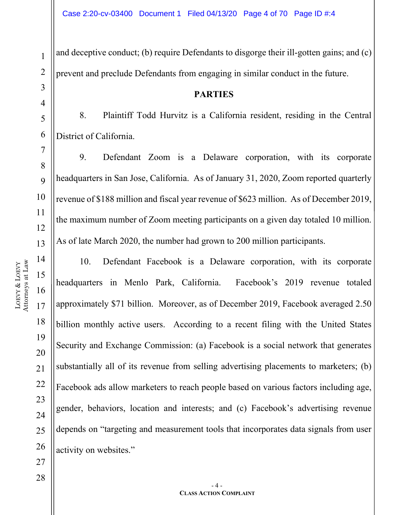and deceptive conduct; (b) require Defendants to disgorge their ill-gotten gains; and (c) prevent and preclude Defendants from engaging in similar conduct in the future.

#### **PARTIES**

8. Plaintiff Todd Hurvitz is a California resident, residing in the Central District of California.

9. Defendant Zoom is a Delaware corporation, with its corporate headquarters in San Jose, California. As of January 31, 2020, Zoom reported quarterly revenue of \$188 million and fiscal year revenue of \$623 million. As of December 2019, the maximum number of Zoom meeting participants on a given day totaled 10 million. As of late March 2020, the number had grown to 200 million participants.

10. Defendant Facebook is a Delaware corporation, with its corporate headquarters in Menlo Park, California. Facebook's 2019 revenue totaled approximately \$71 billion. Moreover, as of December 2019, Facebook averaged 2.50 billion monthly active users. According to a recent filing with the United States Security and Exchange Commission: (a) Facebook is a social network that generates substantially all of its revenue from selling advertising placements to marketers; (b) Facebook ads allow marketers to reach people based on various factors including age, gender, behaviors, location and interests; and (c) Facebook's advertising revenue depends on "targeting and measurement tools that incorporates data signals from user activity on websites."

1

2

3

4

5

6

7

8

 $\overline{Q}$ 

10

11

12

13

14

15

16

17

18

19

20

21

22

23

24

25

26

27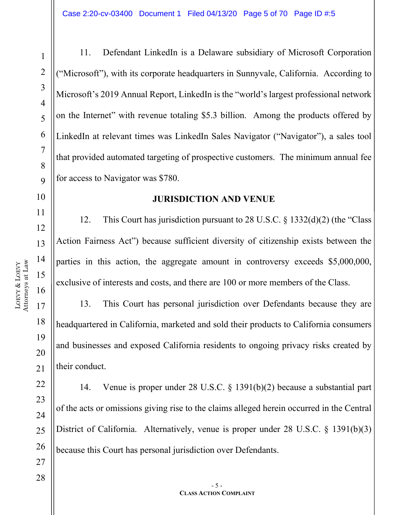1

11. Defendant LinkedIn is a Delaware subsidiary of Microsoft Corporation ("Microsoft"), with its corporate headquarters in Sunnyvale, California. According to Microsoft's 2019 Annual Report, LinkedIn is the "world's largest professional network on the Internet" with revenue totaling \$5.3 billion. Among the products offered by LinkedIn at relevant times was LinkedIn Sales Navigator ("Navigator"), a sales tool that provided automated targeting of prospective customers. The minimum annual fee for access to Navigator was \$780.

#### **JURISDICTION AND VENUE**

12. This Court has jurisdiction pursuant to 28 U.S.C. § 1332(d)(2) (the "Class Action Fairness Act") because sufficient diversity of citizenship exists between the parties in this action, the aggregate amount in controversy exceeds \$5,000,000, exclusive of interests and costs, and there are 100 or more members of the Class.

13. This Court has personal jurisdiction over Defendants because they are headquartered in California, marketed and sold their products to California consumers and businesses and exposed California residents to ongoing privacy risks created by their conduct.

14. Venue is proper under 28 U.S.C. § 1391(b)(2) because a substantial part of the acts or omissions giving rise to the claims alleged herein occurred in the Central District of California. Alternatively, venue is proper under 28 U.S.C. § 1391(b)(3) because this Court has personal jurisdiction over Defendants.

23

24

25

26

27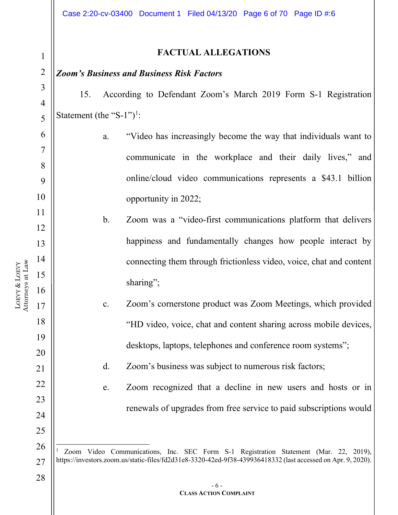#### *Zoom's Business and Business Risk Factors*

15. According to Defendant Zoom's March 2019 Form S-1 Registration Statement (the "S-[1](#page-5-0)")<sup>1</sup>:

- a. "Video has increasingly become the way that individuals want to communicate in the workplace and their daily lives," and online/cloud video communications represents a \$43.1 billion opportunity in 2022;
- b. Zoom was a "video-first communications platform that delivers happiness and fundamentally changes how people interact by connecting them through frictionless video, voice, chat and content sharing";
- c. Zoom's cornerstone product was Zoom Meetings, which provided "HD video, voice, chat and content sharing across mobile devices, desktops, laptops, telephones and conference room systems";
	- d. Zoom's business was subject to numerous risk factors;
	- e. Zoom recognized that a decline in new users and hosts or in renewals of upgrades from free service to paid subscriptions would

1

2

3

4

5

6

7

8

9

10

11

12

13

14

15

16

17

18

19

20

21

22

23

24

25

<span id="page-5-0"></span>26

27

<sup>1</sup> Zoom Video Communications, Inc. SEC Form S-1 Registration Statement (Mar. 22, 2019), https://investors.zoom.us/static-files/fd2d31e8-3320-42ed-9f38-439936418332 (last accessed on Apr. 9, 2020).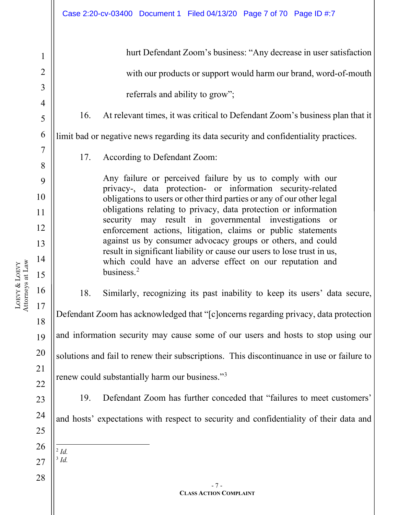16 hurt Defendant Zoom's business: "Any decrease in user satisfaction with our products or support would harm our brand, word-of-mouth referrals and ability to grow"; 16. At relevant times, it was critical to Defendant Zoom's business plan that it limit bad or negative news regarding its data security and confidentiality practices. 17. According to Defendant Zoom: Any failure or perceived failure by us to comply with our privacy-, data protection- or information security-related obligations to users or other third parties or any of our other legal obligations relating to privacy, data protection or information security may result in governmental investigations or enforcement actions, litigation, claims or public statements against us by consumer advocacy groups or others, and could result in significant liability or cause our users to lose trust in us, which could have an adverse effect on our reputation and business.<sup>[2](#page-6-0)</sup> 18. Similarly, recognizing its past inability to keep its users' data secure, Defendant Zoom has acknowledged that "[c]oncerns regarding privacy, data protection and information security may cause some of our users and hosts to stop using our solutions and fail to renew their subscriptions. This discontinuance in use or failure to renew could substantially harm our business."<sup>[3](#page-6-1)</sup> 19. Defendant Zoom has further conceded that "failures to meet customers'

LOEVY & LOEVY Attorneys at Law 1

2

3

4

5

6

7

8

9

10

11

12

13

14

15

<span id="page-6-1"></span><span id="page-6-0"></span>28

<sup>2</sup> *Id.* <sup>3</sup> *Id.*

and hosts' expectations with respect to security and confidentiality of their data and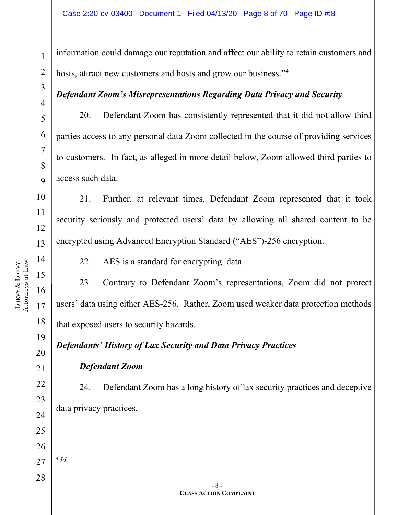information could damage our reputation and affect our ability to retain customers and hosts, attract new customers and hosts and grow our business."<sup>[4](#page-7-0)</sup>

#### *Defendant Zoom's Misrepresentations Regarding Data Privacy and Security*

20. Defendant Zoom has consistently represented that it did not allow third parties access to any personal data Zoom collected in the course of providing services to customers. In fact, as alleged in more detail below, Zoom allowed third parties to access such data.

21. Further, at relevant times, Defendant Zoom represented that it took security seriously and protected users' data by allowing all shared content to be encrypted using Advanced Encryption Standard ("AES")-256 encryption.

22. AES is a standard for encrypting data.

23. Contrary to Defendant Zoom's representations, Zoom did not protect users' data using either AES-256. Rather, Zoom used weaker data protection methods that exposed users to security hazards.

*Defendants' History of Lax Security and Data Privacy Practices*

*Defendant Zoom*

24. Defendant Zoom has a long history of lax security practices and deceptive data privacy practices.

1

2

3

4

5

6

7

8

 $\overline{Q}$ 

10

11

12

13

14

15

16

17

18

<span id="page-7-0"></span><sup>4</sup> *Id.*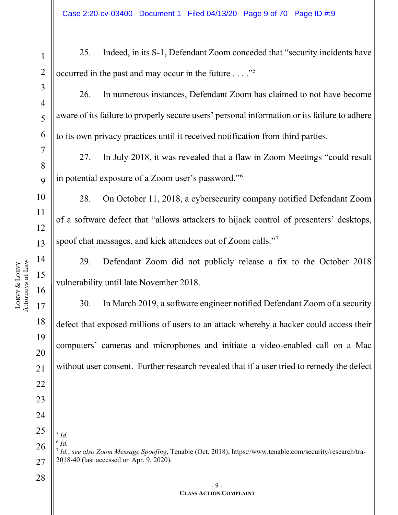<span id="page-8-2"></span><span id="page-8-1"></span><span id="page-8-0"></span>1 2 3 4 5 6 7 8  $\overline{Q}$ 10 11 12 13 14 15 16 17 18 19 20 21 22 23 24 25 26 27 28 - 9 - **CLASS ACTION COMPLAINT** 25. Indeed, in its S-1, Defendant Zoom conceded that "security incidents have occurred in the past and may occur in the future . . . ."[5](#page-8-0) 26. In numerous instances, Defendant Zoom has claimed to not have become aware of its failure to properly secure users' personal information or its failure to adhere to its own privacy practices until it received notification from third parties. 27. In July 2018, it was revealed that a flaw in Zoom Meetings "could result in potential exposure of a Zoom user's password."[6](#page-8-1) 28. On October 11, 2018, a cybersecurity company notified Defendant Zoom of a software defect that "allows attackers to hijack control of presenters' desktops, spoof chat messages, and kick attendees out of Zoom calls."<sup>[7](#page-8-2)</sup> 29. Defendant Zoom did not publicly release a fix to the October 2018 vulnerability until late November 2018. 30. In March 2019, a software engineer notified Defendant Zoom of a security defect that exposed millions of users to an attack whereby a hacker could access their computers' cameras and microphones and initiate a video-enabled call on a Mac without user consent. Further research revealed that if a user tried to remedy the defect <sup>5</sup> *Id.*  $6$   $Id.$ <sup>7</sup> *Id.*; *see also Zoom Message Spoofing*, Tenable (Oct. 2018), https://www.tenable.com/security/research/tra-2018-40 (last accessed on Apr. 9, 2020).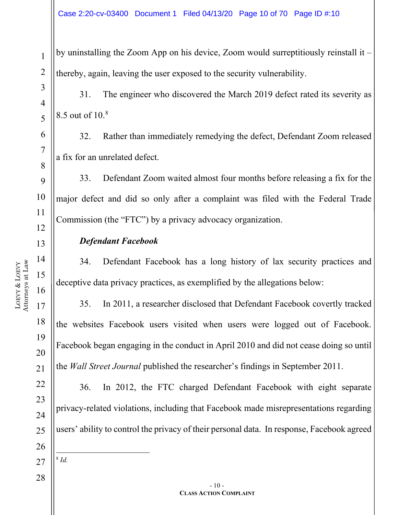by uninstalling the Zoom App on his device, Zoom would surreptitiously reinstall it – thereby, again, leaving the user exposed to the security vulnerability.

31. The engineer who discovered the March 2019 defect rated its severity as 8.5 out of 10.[8](#page-9-0)

32. Rather than immediately remedying the defect, Defendant Zoom released a fix for an unrelated defect.

33. Defendant Zoom waited almost four months before releasing a fix for the major defect and did so only after a complaint was filed with the Federal Trade Commission (the "FTC") by a privacy advocacy organization.

#### *Defendant Facebook*

34. Defendant Facebook has a long history of lax security practices and deceptive data privacy practices, as exemplified by the allegations below:

35. In 2011, a researcher disclosed that Defendant Facebook covertly tracked the websites Facebook users visited when users were logged out of Facebook. Facebook began engaging in the conduct in April 2010 and did not cease doing so until the *Wall Street Journal* published the researcher's findings in September 2011.

36. In 2012, the FTC charged Defendant Facebook with eight separate privacy-related violations, including that Facebook made misrepresentations regarding users' ability to control the privacy of their personal data. In response, Facebook agreed

<span id="page-9-0"></span>27 <sup>8</sup> *Id.*

LOEVY

1

2

3

4

5

6

7

8

9

10

11

12

13

14

15

16

17

18

19

20

21

22

23

24

25

26

28

 $-10-$ **CLASS ACTION COMPLAINT**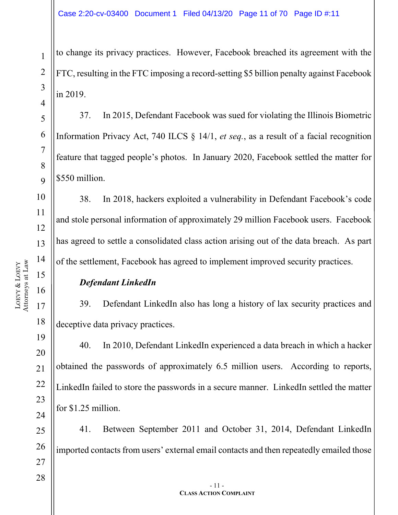to change its privacy practices. However, Facebook breached its agreement with the FTC, resulting in the FTC imposing a record-setting \$5 billion penalty against Facebook in 2019.

37. In 2015, Defendant Facebook was sued for violating the Illinois Biometric Information Privacy Act, 740 ILCS § 14/1, *et seq.*, as a result of a facial recognition feature that tagged people's photos. In January 2020, Facebook settled the matter for \$550 million.

38. In 2018, hackers exploited a vulnerability in Defendant Facebook's code and stole personal information of approximately 29 million Facebook users. Facebook has agreed to settle a consolidated class action arising out of the data breach. As part of the settlement, Facebook has agreed to implement improved security practices.

#### *Defendant LinkedIn*

39. Defendant LinkedIn also has long a history of lax security practices and deceptive data privacy practices.

40. In 2010, Defendant LinkedIn experienced a data breach in which a hacker obtained the passwords of approximately 6.5 million users. According to reports, LinkedIn failed to store the passwords in a secure manner. LinkedIn settled the matter for \$1.25 million.

41. Between September 2011 and October 31, 2014, Defendant LinkedIn imported contacts from users' external email contacts and then repeatedly emailed those

1

2

3

4

5

6

7

8

 $\overline{Q}$ 

10

11

12

13

14

15

16

17

18

19

20

21

22

23

24

25

26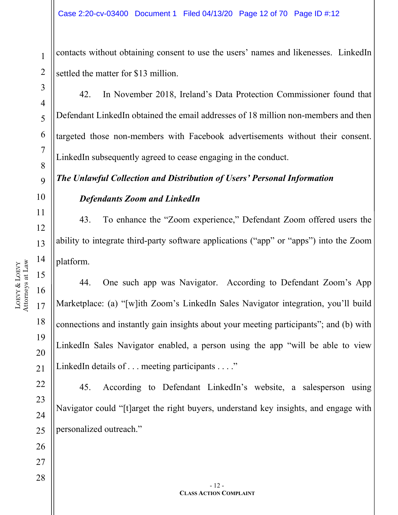contacts without obtaining consent to use the users' names and likenesses. LinkedIn settled the matter for \$13 million.

42. In November 2018, Ireland's Data Protection Commissioner found that Defendant LinkedIn obtained the email addresses of 18 million non-members and then targeted those non-members with Facebook advertisements without their consent. LinkedIn subsequently agreed to cease engaging in the conduct.

## *The Unlawful Collection and Distribution of Users' Personal Information*

#### *Defendants Zoom and LinkedIn*

43. To enhance the "Zoom experience," Defendant Zoom offered users the ability to integrate third-party software applications ("app" or "apps") into the Zoom platform.

44. One such app was Navigator. According to Defendant Zoom's App Marketplace: (a) "[w]ith Zoom's LinkedIn Sales Navigator integration, you'll build connections and instantly gain insights about your meeting participants"; and (b) with LinkedIn Sales Navigator enabled, a person using the app "will be able to view LinkedIn details of . . . meeting participants . . . ."

45. According to Defendant LinkedIn's website, a salesperson using Navigator could "[t]arget the right buyers, understand key insights, and engage with personalized outreach."

1

2

3

4

5

6

7

8

 $\overline{Q}$ 

10

11

12

13

14

15

16

17

18

19

20

21

22

23

24

25

26

27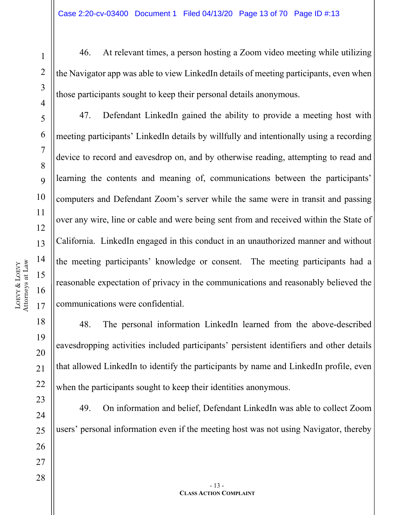LOEVY &

LOEVY

21

22

28

1

2

3

4

5

6

7

8

 $\overline{Q}$ 

46. At relevant times, a person hosting a Zoom video meeting while utilizing the Navigator app was able to view LinkedIn details of meeting participants, even when those participants sought to keep their personal details anonymous.

47. Defendant LinkedIn gained the ability to provide a meeting host with meeting participants' LinkedIn details by willfully and intentionally using a recording device to record and eavesdrop on, and by otherwise reading, attempting to read and learning the contents and meaning of, communications between the participants' computers and Defendant Zoom's server while the same were in transit and passing over any wire, line or cable and were being sent from and received within the State of California. LinkedIn engaged in this conduct in an unauthorized manner and without the meeting participants' knowledge or consent. The meeting participants had a reasonable expectation of privacy in the communications and reasonably believed the communications were confidential.

48. The personal information LinkedIn learned from the above-described eavesdropping activities included participants' persistent identifiers and other details that allowed LinkedIn to identify the participants by name and LinkedIn profile, even when the participants sought to keep their identities anonymous.

23 24 25 26 27 49. On information and belief, Defendant LinkedIn was able to collect Zoom users' personal information even if the meeting host was not using Navigator, thereby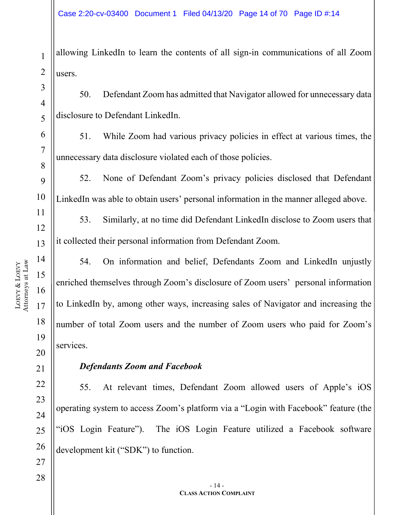allowing LinkedIn to learn the contents of all sign-in communications of all Zoom users.

50. Defendant Zoom has admitted that Navigator allowed for unnecessary data disclosure to Defendant LinkedIn.

51. While Zoom had various privacy policies in effect at various times, the unnecessary data disclosure violated each of those policies.

52. None of Defendant Zoom's privacy policies disclosed that Defendant LinkedIn was able to obtain users' personal information in the manner alleged above.

53. Similarly, at no time did Defendant LinkedIn disclose to Zoom users that it collected their personal information from Defendant Zoom.

54. On information and belief, Defendants Zoom and LinkedIn unjustly enriched themselves through Zoom's disclosure of Zoom users' personal information to LinkedIn by, among other ways, increasing sales of Navigator and increasing the number of total Zoom users and the number of Zoom users who paid for Zoom's services.

#### *Defendants Zoom and Facebook*

55. At relevant times, Defendant Zoom allowed users of Apple's iOS operating system to access Zoom's platform via a "Login with Facebook" feature (the "iOS Login Feature"). The iOS Login Feature utilized a Facebook software development kit ("SDK") to function.

LOEVY & LOEVY Attorneys at Law 1

2

3

4

5

6

7

8

9

10

11

12

13

14

15

16

17

18

19

20

21

22

23

24

25

26

27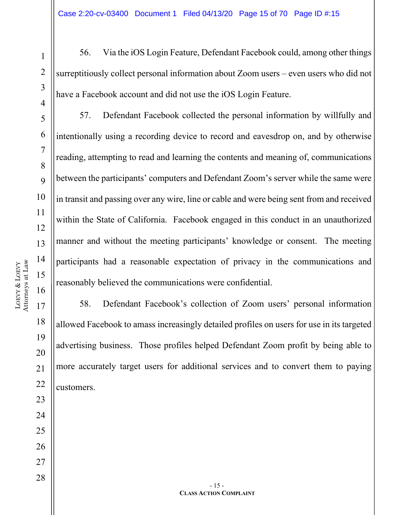LOEVY &

LOEVY

21

22

23

24

25

26

27

28

1

2

3

4

5

6

7

8

9

56. Via the iOS Login Feature, Defendant Facebook could, among other things surreptitiously collect personal information about Zoom users – even users who did not have a Facebook account and did not use the iOS Login Feature.

57. Defendant Facebook collected the personal information by willfully and intentionally using a recording device to record and eavesdrop on, and by otherwise reading, attempting to read and learning the contents and meaning of, communications between the participants' computers and Defendant Zoom's server while the same were in transit and passing over any wire, line or cable and were being sent from and received within the State of California. Facebook engaged in this conduct in an unauthorized manner and without the meeting participants' knowledge or consent. The meeting participants had a reasonable expectation of privacy in the communications and reasonably believed the communications were confidential.

58. Defendant Facebook's collection of Zoom users' personal information allowed Facebook to amass increasingly detailed profiles on users for use in its targeted advertising business. Those profiles helped Defendant Zoom profit by being able to more accurately target users for additional services and to convert them to paying customers.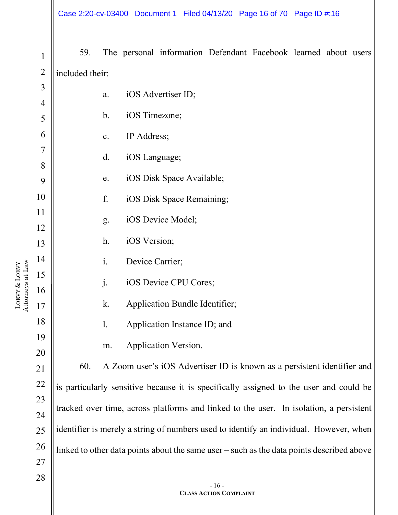| $\mathbf{1}$   | 59.             |                |                 | The personal information Defendant Facebook learned about users                           |        |  |  |
|----------------|-----------------|----------------|-----------------|-------------------------------------------------------------------------------------------|--------|--|--|
| $\overline{2}$ | included their: |                |                 |                                                                                           |        |  |  |
| 3              |                 | a.             |                 | iOS Advertiser ID;                                                                        |        |  |  |
| $\overline{4}$ |                 |                |                 |                                                                                           |        |  |  |
| 5              |                 | $\mathbf b$ .  | iOS Timezone;   |                                                                                           |        |  |  |
| 6              |                 | $\mathbf{c}$ . | IP Address;     |                                                                                           |        |  |  |
| 7              |                 | d.             | iOS Language;   |                                                                                           |        |  |  |
| 8              |                 | e.             |                 | iOS Disk Space Available;                                                                 |        |  |  |
| 9              |                 |                |                 |                                                                                           |        |  |  |
| 10<br>11       |                 | f.             |                 | iOS Disk Space Remaining;                                                                 |        |  |  |
| 12             |                 | g.             |                 | iOS Device Model;                                                                         |        |  |  |
| 13             |                 | $h$ .          | iOS Version;    |                                                                                           |        |  |  |
| 14             |                 | i.             | Device Carrier; |                                                                                           |        |  |  |
| 15             |                 | $\mathbf{j}$ . |                 | iOS Device CPU Cores;                                                                     |        |  |  |
| 16             |                 |                |                 |                                                                                           |        |  |  |
| 17             |                 | k.             |                 | Application Bundle Identifier;                                                            |        |  |  |
| 18             |                 | 1.             |                 | Application Instance ID; and                                                              |        |  |  |
| 19             |                 | m.             |                 | Application Version.                                                                      |        |  |  |
| 20             | 60.             |                |                 | A Zoom user's iOS Advertiser ID is known as a persistent identifier and                   |        |  |  |
| 21             |                 |                |                 |                                                                                           |        |  |  |
| 22<br>23       |                 |                |                 | is particularly sensitive because it is specifically assigned to the user and could be    |        |  |  |
| 24             |                 |                |                 | tracked over time, across platforms and linked to the user. In isolation, a persistent    |        |  |  |
| 25             |                 |                |                 | identifier is merely a string of numbers used to identify an individual. However, when    |        |  |  |
| 26             |                 |                |                 | linked to other data points about the same user - such as the data points described above |        |  |  |
| 27             |                 |                |                 |                                                                                           |        |  |  |
| 28             |                 |                |                 |                                                                                           |        |  |  |
|                |                 |                |                 |                                                                                           | $-16-$ |  |  |

**CLASS ACTION COMPLAINT**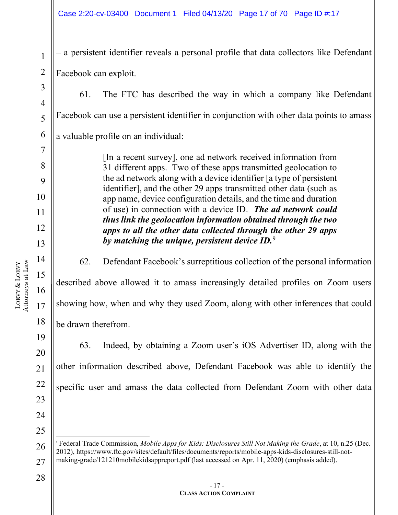– a persistent identifier reveals a personal profile that data collectors like Defendant Facebook can exploit.

61. The FTC has described the way in which a company like Defendant Facebook can use a persistent identifier in conjunction with other data points to amass a valuable profile on an individual:

> [In a recent survey], one ad network received information from 31 different apps. Two of these apps transmitted geolocation to the ad network along with a device identifier [a type of persistent identifier], and the other 29 apps transmitted other data (such as app name, device configuration details, and the time and duration of use) in connection with a device ID. *The ad network could thus link the geolocation information obtained through the two apps to all the other data collected through the other 29 apps by matching the unique, persistent device ID.*[9](#page-16-0)

62. Defendant Facebook's surreptitious collection of the personal information described above allowed it to amass increasingly detailed profiles on Zoom users showing how, when and why they used Zoom, along with other inferences that could be drawn therefrom.

63. Indeed, by obtaining a Zoom user's iOS Advertiser ID, along with the other information described above, Defendant Facebook was able to identify the specific user and amass the data collected from Defendant Zoom with other data

1

2

3

4

5

6

7

8

9

10

11

12

13

14

15

16

17

18

19

20

21

22

23

24

25

<span id="page-16-0"></span><sup>26</sup> 27 9 Federal Trade Commission, *Mobile Apps for Kids: Disclosures Still Not Making the Grade*, at 10, n.25 (Dec. 2012), https://www.ftc.gov/sites/default/files/documents/reports/mobile-apps-kids-disclosures-still-notmaking-grade/121210mobilekidsappreport.pdf (last accessed on Apr. 11, 2020) (emphasis added).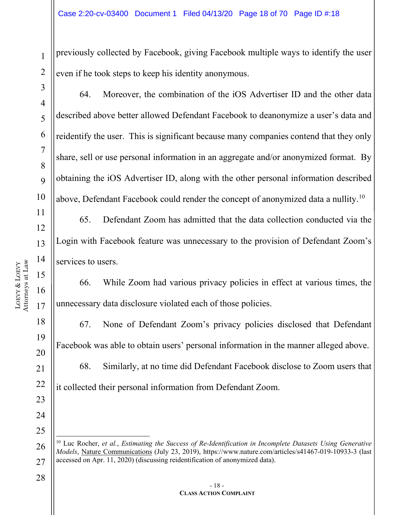previously collected by Facebook, giving Facebook multiple ways to identify the user even if he took steps to keep his identity anonymous.

64. Moreover, the combination of the iOS Advertiser ID and the other data described above better allowed Defendant Facebook to deanonymize a user's data and reidentify the user. This is significant because many companies contend that they only share, sell or use personal information in an aggregate and/or anonymized format. By obtaining the iOS Advertiser ID, along with the other personal information described above, Defendant Facebook could render the concept of anonymized data a nullity.[10](#page-17-0)

65. Defendant Zoom has admitted that the data collection conducted via the Login with Facebook feature was unnecessary to the provision of Defendant Zoom's services to users.

66. While Zoom had various privacy policies in effect at various times, the unnecessary data disclosure violated each of those policies.

67. None of Defendant Zoom's privacy policies disclosed that Defendant Facebook was able to obtain users' personal information in the manner alleged above. 68. Similarly, at no time did Defendant Facebook disclose to Zoom users that it collected their personal information from Defendant Zoom.

1

2

3

4

5

6

7

8

 $\overline{Q}$ 

10

11

12

13

14

15

16

17

18

19

20

21

22

23

24

25

<span id="page-17-0"></span><sup>26</sup> 27 <sup>10</sup> Luc Rocher, *et al.*, *Estimating the Success of Re-Identification in Incomplete Datasets Using Generative Models*, Nature Communications (July 23, 2019), https://www.nature.com/articles/s41467-019-10933-3 (last accessed on Apr. 11, 2020) (discussing reidentification of anonymized data).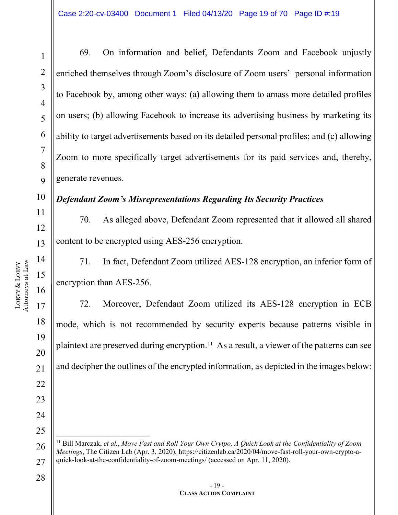LOEVY &

LOEVY

1

2

3

4

5

6

7

8

 $\overline{Q}$ 

69. On information and belief, Defendants Zoom and Facebook unjustly enriched themselves through Zoom's disclosure of Zoom users' personal information to Facebook by, among other ways: (a) allowing them to amass more detailed profiles on users; (b) allowing Facebook to increase its advertising business by marketing its ability to target advertisements based on its detailed personal profiles; and (c) allowing Zoom to more specifically target advertisements for its paid services and, thereby, generate revenues.

#### *Defendant Zoom's Misrepresentations Regarding Its Security Practices*

70. As alleged above, Defendant Zoom represented that it allowed all shared content to be encrypted using AES-256 encryption.

71. In fact, Defendant Zoom utilized AES-128 encryption, an inferior form of encryption than AES-256.

72. Moreover, Defendant Zoom utilized its AES-128 encryption in ECB mode, which is not recommended by security experts because patterns visible in plaintext are preserved during encryption.[11](#page-18-0) As a result, a viewer of the patterns can see and decipher the outlines of the encrypted information, as depicted in the images below:

28

21

22

23

24

<span id="page-18-0"></span><sup>26</sup> 27 <sup>11</sup> Bill Marczak, *et al.*, *Move Fast and Roll Your Own Crytpo, A Quick Look at the Confidentiality of Zoom Meetings*, The Citizen Lab (Apr. 3, 2020), https://citizenlab.ca/2020/04/move-fast-roll-your-own-crypto-aquick-look-at-the-confidentiality-of-zoom-meetings/ (accessed on Apr. 11, 2020).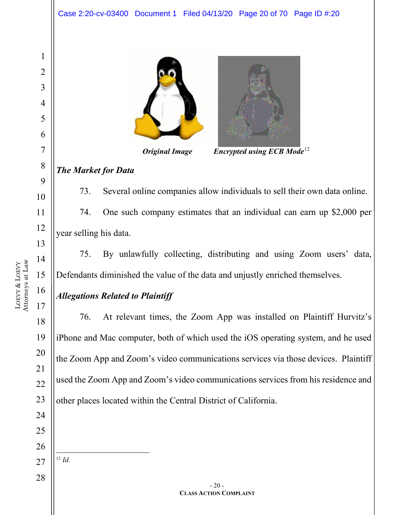

*Original Image Encrypted using ECB Mode*[12](#page-19-0)

#### *The Market for Data*

73. Several online companies allow individuals to sell their own data online. 74. One such company estimates that an individual can earn up \$2,000 per year selling his data.

75. By unlawfully collecting, distributing and using Zoom users' data, Defendants diminished the value of the data and unjustly enriched themselves.

#### *Allegations Related to Plaintiff*

76. At relevant times, the Zoom App was installed on Plaintiff Hurvitz's iPhone and Mac computer, both of which used the iOS operating system, and he used the Zoom App and Zoom's video communications services via those devices. Plaintiff used the Zoom App and Zoom's video communications services from his residence and other places located within the Central District of California.

- 
- <span id="page-19-0"></span> *Id.*

LOEVY & LOEVY Attorneys at Law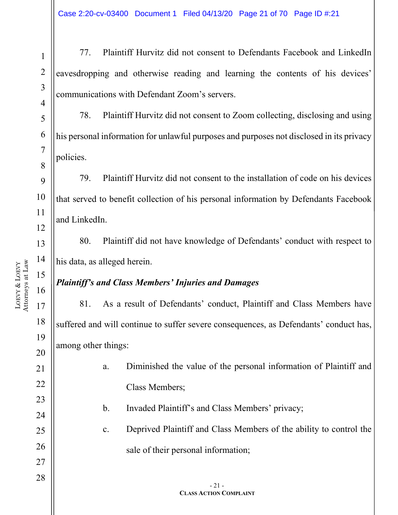Case 2:20-cv-03400 Document 1 Filed 04/13/20 Page 21 of 70 Page ID #:21

77. Plaintiff Hurvitz did not consent to Defendants Facebook and LinkedIn eavesdropping and otherwise reading and learning the contents of his devices' communications with Defendant Zoom's servers.

78. Plaintiff Hurvitz did not consent to Zoom collecting, disclosing and using his personal information for unlawful purposes and purposes not disclosed in its privacy policies.

79. Plaintiff Hurvitz did not consent to the installation of code on his devices that served to benefit collection of his personal information by Defendants Facebook and LinkedIn.

80. Plaintiff did not have knowledge of Defendants' conduct with respect to his data, as alleged herein.

#### *Plaintiff's and Class Members' Injuries and Damages*

81. As a result of Defendants' conduct, Plaintiff and Class Members have suffered and will continue to suffer severe consequences, as Defendants' conduct has, among other things:

> a. Diminished the value of the personal information of Plaintiff and Class Members;

b. Invaded Plaintiff's and Class Members' privacy;

c. Deprived Plaintiff and Class Members of the ability to control the sale of their personal information;

1

2

3

4

5

6

7

8

9

10

11

12

13

14

15

16

17

18

19

20

21

22

23

24

25

26

27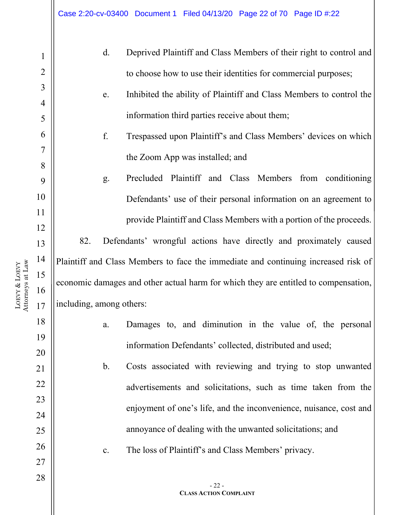| $\mathbf{1}$   |                          | d.             | Deprived Plaintiff and Class Members of their right to control and                  |
|----------------|--------------------------|----------------|-------------------------------------------------------------------------------------|
| $\overline{2}$ |                          |                | to choose how to use their identities for commercial purposes;                      |
| 3              |                          | e.             | Inhibited the ability of Plaintiff and Class Members to control the                 |
| $\overline{4}$ |                          |                |                                                                                     |
| 5              |                          |                | information third parties receive about them;                                       |
| 6              |                          | f.             | Trespassed upon Plaintiff's and Class Members' devices on which                     |
| $\tau$         |                          |                | the Zoom App was installed; and                                                     |
| 8              |                          |                |                                                                                     |
| 9              |                          | g.             | Precluded Plaintiff and Class Members from conditioning                             |
| 10             |                          |                | Defendants' use of their personal information on an agreement to                    |
| 11             |                          |                | provide Plaintiff and Class Members with a portion of the proceeds.                 |
| 12<br>13       | 82.                      |                | Defendants' wrongful actions have directly and proximately caused                   |
| 14             |                          |                | Plaintiff and Class Members to face the immediate and continuing increased risk of  |
| 15             |                          |                |                                                                                     |
| 16             |                          |                | economic damages and other actual harm for which they are entitled to compensation, |
| 17             | including, among others: |                |                                                                                     |
| 18             |                          | a.             | Damages to, and diminution in the value of, the personal                            |
| 19             |                          |                | information Defendants' collected, distributed and used;                            |
| 20             |                          | $\mathbf{b}$ . | Costs associated with reviewing and trying to stop unwanted                         |
| 21             |                          |                |                                                                                     |
| 22<br>23       |                          |                | advertisements and solicitations, such as time taken from the                       |
| 24             |                          |                | enjoyment of one's life, and the inconvenience, nuisance, cost and                  |
| 25             |                          |                | annoyance of dealing with the unwanted solicitations; and                           |
| 26             |                          |                |                                                                                     |
| 27             |                          | c.             | The loss of Plaintiff's and Class Members' privacy.                                 |
| 28             |                          |                |                                                                                     |
|                |                          |                | $-22-$<br><b>CLASS ACTION COMPLAINT</b>                                             |
|                |                          |                |                                                                                     |

LOEVY & LOEVY Attorneys at Law  $\mathbf{\mathsf{H}}$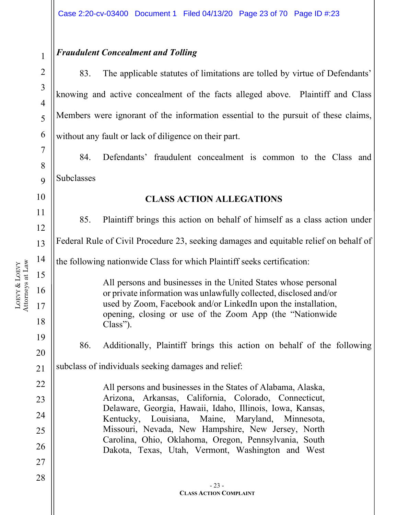#### *Fraudulent Concealment and Tolling*

83. The applicable statutes of limitations are tolled by virtue of Defendants' knowing and active concealment of the facts alleged above. Plaintiff and Class Members were ignorant of the information essential to the pursuit of these claims, without any fault or lack of diligence on their part.

84. Defendants' fraudulent concealment is common to the Class and Subclasses

#### **CLASS ACTION ALLEGATIONS**

11 12 13 14 15 16 17 18 19 20 21 22 23 24 25 26 27 28 - 23 - **CLASS ACTION COMPLAINT** 85. Plaintiff brings this action on behalf of himself as a class action under Federal Rule of Civil Procedure 23, seeking damages and equitable relief on behalf of the following nationwide Class for which Plaintiff seeks certification: All persons and businesses in the United States whose personal or private information was unlawfully collected, disclosed and/or used by Zoom, Facebook and/or LinkedIn upon the installation, opening, closing or use of the Zoom App (the "Nationwide Class"). 86. Additionally, Plaintiff brings this action on behalf of the following subclass of individuals seeking damages and relief: All persons and businesses in the States of Alabama, Alaska, Arizona, Arkansas, California, Colorado, Connecticut, Delaware, Georgia, Hawaii, Idaho, Illinois, Iowa, Kansas, Kentucky, Louisiana, Maine, Maryland, Minnesota, Missouri, Nevada, New Hampshire, New Jersey, North Carolina, Ohio, Oklahoma, Oregon, Pennsylvania, South Dakota, Texas, Utah, Vermont, Washington and West

1

2

3

4

5

6

7

8

 $\mathbf Q$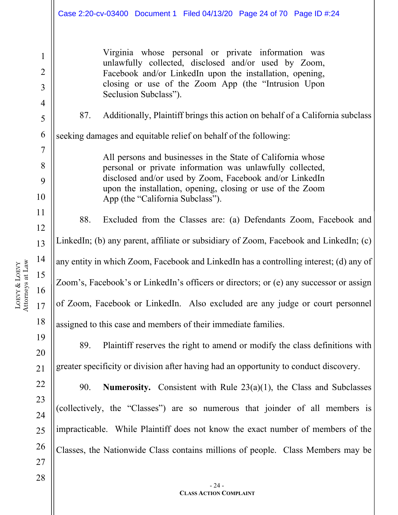Virginia whose personal or private information was unlawfully collected, disclosed and/or used by Zoom, Facebook and/or LinkedIn upon the installation, opening, closing or use of the Zoom App (the "Intrusion Upon Seclusion Subclass").

1

2

3

4

5

6

7

8

9

10

11

12

13

14

15

16

17

18

19

20

21

22

23

24

25

26

27

87. Additionally, Plaintiff brings this action on behalf of a California subclass

seeking damages and equitable relief on behalf of the following:

All persons and businesses in the State of California whose personal or private information was unlawfully collected, disclosed and/or used by Zoom, Facebook and/or LinkedIn upon the installation, opening, closing or use of the Zoom App (the "California Subclass").

88. Excluded from the Classes are: (a) Defendants Zoom, Facebook and LinkedIn; (b) any parent, affiliate or subsidiary of Zoom, Facebook and LinkedIn; (c) any entity in which Zoom, Facebook and LinkedIn has a controlling interest; (d) any of Zoom's, Facebook's or LinkedIn's officers or directors; or (e) any successor or assign of Zoom, Facebook or LinkedIn. Also excluded are any judge or court personnel assigned to this case and members of their immediate families.

89. Plaintiff reserves the right to amend or modify the class definitions with greater specificity or division after having had an opportunity to conduct discovery.

90. **Numerosity.** Consistent with Rule 23(a)(1), the Class and Subclasses (collectively, the "Classes") are so numerous that joinder of all members is impracticable. While Plaintiff does not know the exact number of members of the Classes, the Nationwide Class contains millions of people. Class Members may be

- 24 -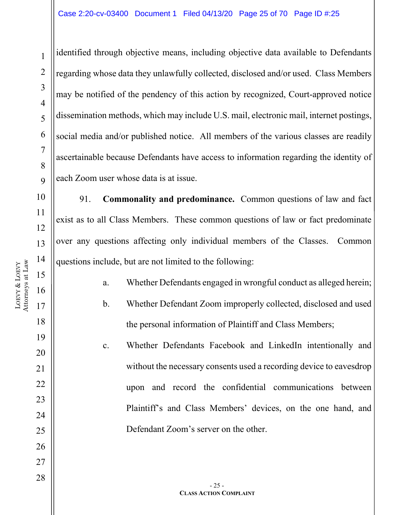25

26

27

28

identified through objective means, including objective data available to Defendants regarding whose data they unlawfully collected, disclosed and/or used. Class Members may be notified of the pendency of this action by recognized, Court-approved notice dissemination methods, which may include U.S. mail, electronic mail, internet postings, social media and/or published notice. All members of the various classes are readily ascertainable because Defendants have access to information regarding the identity of each Zoom user whose data is at issue.

91. **Commonality and predominance.** Common questions of law and fact exist as to all Class Members. These common questions of law or fact predominate over any questions affecting only individual members of the Classes. Common questions include, but are not limited to the following:

> a. Whether Defendants engaged in wrongful conduct as alleged herein; b. Whether Defendant Zoom improperly collected, disclosed and used the personal information of Plaintiff and Class Members;

c. Whether Defendants Facebook and LinkedIn intentionally and without the necessary consents used a recording device to eavesdrop upon and record the confidential communications between Plaintiff's and Class Members' devices, on the one hand, and Defendant Zoom's server on the other.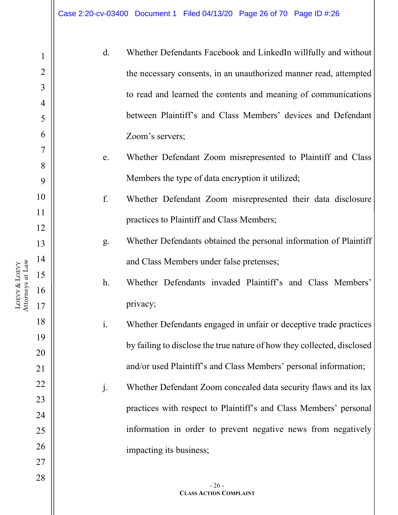| 1              | d.             | Whether Defendants Facebook and LinkedIn willfully and without          |
|----------------|----------------|-------------------------------------------------------------------------|
| $\overline{2}$ |                | the necessary consents, in an unauthorized manner read, attempted       |
| 3              |                |                                                                         |
| 4              |                | to read and learned the contents and meaning of communications          |
| 5              |                | between Plaintiff's and Class Members' devices and Defendant            |
| 6              |                | Zoom's servers;                                                         |
| 7              | e.             | Whether Defendant Zoom misrepresented to Plaintiff and Class            |
| 8              |                |                                                                         |
| 9              |                | Members the type of data encryption it utilized;                        |
| 10             | f.             | Whether Defendant Zoom misrepresented their data disclosure             |
| 11             |                | practices to Plaintiff and Class Members;                               |
| 12             |                |                                                                         |
| 13             | g.             | Whether Defendants obtained the personal information of Plaintiff       |
| 14             |                | and Class Members under false pretenses;                                |
| 15             | $h$ .          | Whether Defendants invaded Plaintiff's and Class Members'               |
| 16             |                |                                                                         |
| 17             |                | privacy;                                                                |
| 18             | $\mathbf{i}$ . | Whether Defendants engaged in unfair or deceptive trade practices       |
| 19             |                | by failing to disclose the true nature of how they collected, disclosed |
| 20             |                |                                                                         |
| 21             |                | and/or used Plaintiff's and Class Members' personal information;        |
| 22             | j.             | Whether Defendant Zoom concealed data security flaws and its lax        |
| 23             |                |                                                                         |
| 24             |                | practices with respect to Plaintiff's and Class Members' personal       |
| 25             |                | information in order to prevent negative news from negatively           |
| 26             |                | impacting its business;                                                 |
| 27             |                |                                                                         |
| 28             |                |                                                                         |
|                |                | $-26-$<br><b>CLASS ACTION COMPLAINT</b>                                 |

LOEVY &

Attorneys at Law

LOEVY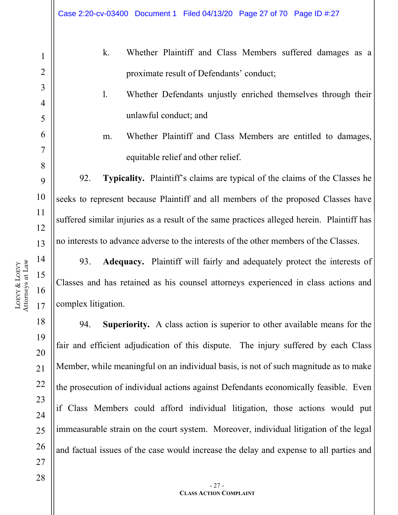k. Whether Plaintiff and Class Members suffered damages as a proximate result of Defendants' conduct;

### l. Whether Defendants unjustly enriched themselves through their unlawful conduct; and

m. Whether Plaintiff and Class Members are entitled to damages, equitable relief and other relief.

92. **Typicality.** Plaintiff's claims are typical of the claims of the Classes he seeks to represent because Plaintiff and all members of the proposed Classes have suffered similar injuries as a result of the same practices alleged herein. Plaintiff has no interests to advance adverse to the interests of the other members of the Classes.

93. **Adequacy.** Plaintiff will fairly and adequately protect the interests of Classes and has retained as his counsel attorneys experienced in class actions and complex litigation.

94. **Superiority.** A class action is superior to other available means for the fair and efficient adjudication of this dispute. The injury suffered by each Class Member, while meaningful on an individual basis, is not of such magnitude as to make the prosecution of individual actions against Defendants economically feasible. Even if Class Members could afford individual litigation, those actions would put immeasurable strain on the court system. Moreover, individual litigation of the legal and factual issues of the case would increase the delay and expense to all parties and

- 27 -

1

2

3

4

5

6

7

8

9

10

11

12

13

14

15

16

17

18

19

20

21

22

23

24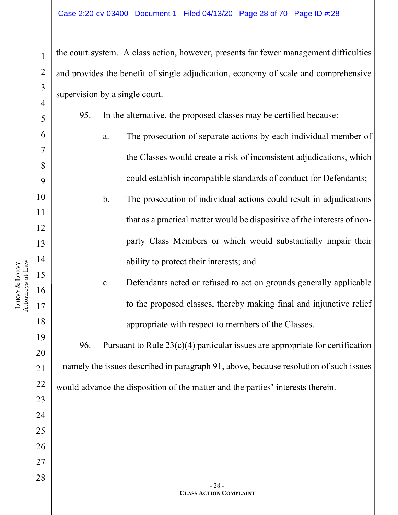the court system. A class action, however, presents far fewer management difficulties and provides the benefit of single adjudication, economy of scale and comprehensive supervision by a single court.

95. In the alternative, the proposed classes may be certified because:

- a. The prosecution of separate actions by each individual member of the Classes would create a risk of inconsistent adjudications, which could establish incompatible standards of conduct for Defendants;
- b. The prosecution of individual actions could result in adjudications that as a practical matter would be dispositive of the interests of nonparty Class Members or which would substantially impair their ability to protect their interests; and
	- c. Defendants acted or refused to act on grounds generally applicable to the proposed classes, thereby making final and injunctive relief appropriate with respect to members of the Classes.

96. Pursuant to Rule  $23(c)(4)$  particular issues are appropriate for certification – namely the issues described in paragraph 91, above, because resolution of such issues would advance the disposition of the matter and the parties' interests therein.

1

2

3

4

5

6

7

8

9

10

11

12

13

14

15

16

17

18

19

20

21

22

23

24

25

26

27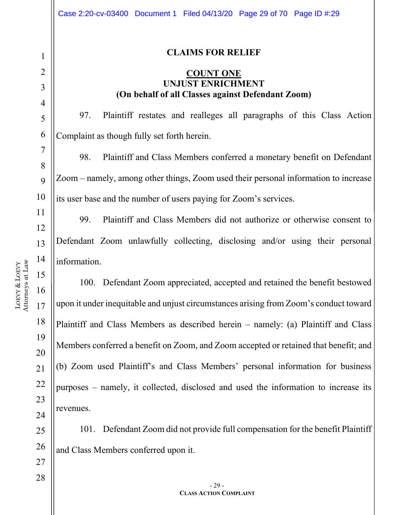#### **CLAIMS FOR RELIEF**

#### **COUNT ONE UNJUST ENRICHMENT (On behalf of all Classes against Defendant Zoom)**

97. Plaintiff restates and realleges all paragraphs of this Class Action Complaint as though fully set forth herein.

98. Plaintiff and Class Members conferred a monetary benefit on Defendant Zoom – namely, among other things, Zoom used their personal information to increase its user base and the number of users paying for Zoom's services.

99. Plaintiff and Class Members did not authorize or otherwise consent to Defendant Zoom unlawfully collecting, disclosing and/or using their personal information.

100. Defendant Zoom appreciated, accepted and retained the benefit bestowed upon it under inequitable and unjust circumstances arising from Zoom's conduct toward Plaintiff and Class Members as described herein – namely: (a) Plaintiff and Class Members conferred a benefit on Zoom, and Zoom accepted or retained that benefit; and (b) Zoom used Plaintiff's and Class Members' personal information for business purposes – namely, it collected, disclosed and used the information to increase its revenues.

25 26 101. Defendant Zoom did not provide full compensation for the benefit Plaintiff and Class Members conferred upon it.

1

2

3

4

5

6

7

8

 $\overline{Q}$ 

10

11

12

13

14

15

16

17

18

19

20

21

22

23

24

27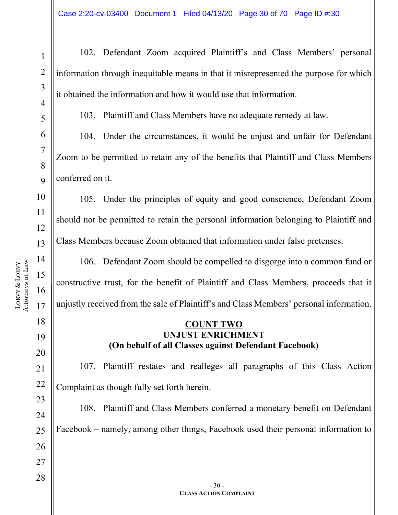28

1

102. Defendant Zoom acquired Plaintiff's and Class Members' personal information through inequitable means in that it misrepresented the purpose for which it obtained the information and how it would use that information.

103. Plaintiff and Class Members have no adequate remedy at law.

104. Under the circumstances, it would be unjust and unfair for Defendant Zoom to be permitted to retain any of the benefits that Plaintiff and Class Members conferred on it.

105. Under the principles of equity and good conscience, Defendant Zoom should not be permitted to retain the personal information belonging to Plaintiff and Class Members because Zoom obtained that information under false pretenses.

106. Defendant Zoom should be compelled to disgorge into a common fund or constructive trust, for the benefit of Plaintiff and Class Members, proceeds that it unjustly received from the sale of Plaintiff's and Class Members' personal information.

#### **COUNT TWO UNJUST ENRICHMENT (On behalf of all Classes against Defendant Facebook)**

107. Plaintiff restates and realleges all paragraphs of this Class Action Complaint as though fully set forth herein.

108. Plaintiff and Class Members conferred a monetary benefit on Defendant Facebook – namely, among other things, Facebook used their personal information to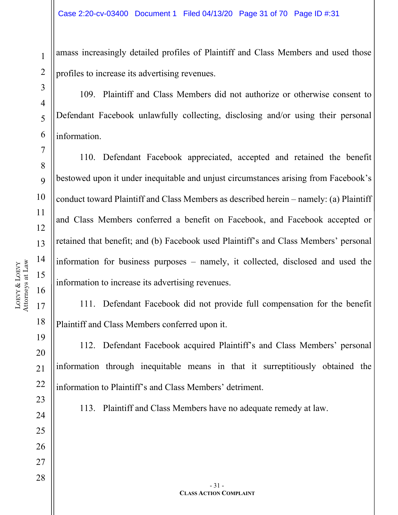amass increasingly detailed profiles of Plaintiff and Class Members and used those profiles to increase its advertising revenues.

109. Plaintiff and Class Members did not authorize or otherwise consent to Defendant Facebook unlawfully collecting, disclosing and/or using their personal information.

110. Defendant Facebook appreciated, accepted and retained the benefit bestowed upon it under inequitable and unjust circumstances arising from Facebook's conduct toward Plaintiff and Class Members as described herein – namely: (a) Plaintiff and Class Members conferred a benefit on Facebook, and Facebook accepted or retained that benefit; and (b) Facebook used Plaintiff's and Class Members' personal information for business purposes – namely, it collected, disclosed and used the information to increase its advertising revenues.

111. Defendant Facebook did not provide full compensation for the benefit Plaintiff and Class Members conferred upon it.

112. Defendant Facebook acquired Plaintiff's and Class Members' personal information through inequitable means in that it surreptitiously obtained the information to Plaintiff's and Class Members' detriment.

113. Plaintiff and Class Members have no adequate remedy at law.

1

2

3

4

5

6

7

8

9

10

11

12

13

14

15

16

17

18

19

20

21

22

23

24

25

26

27

```
- 31 -
CLASS ACTION COMPLAINT
```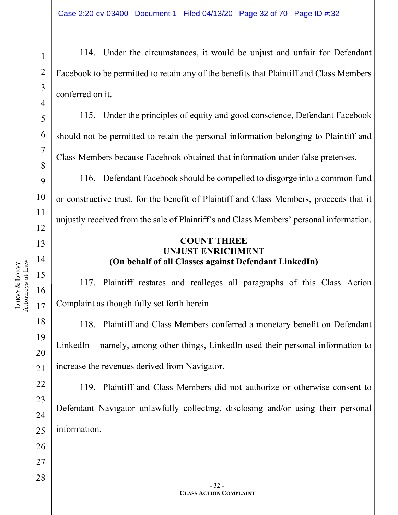114. Under the circumstances, it would be unjust and unfair for Defendant Facebook to be permitted to retain any of the benefits that Plaintiff and Class Members conferred on it.

115. Under the principles of equity and good conscience, Defendant Facebook should not be permitted to retain the personal information belonging to Plaintiff and Class Members because Facebook obtained that information under false pretenses.

116. Defendant Facebook should be compelled to disgorge into a common fund or constructive trust, for the benefit of Plaintiff and Class Members, proceeds that it unjustly received from the sale of Plaintiff's and Class Members' personal information.

#### **COUNT THREE UNJUST ENRICHMENT (On behalf of all Classes against Defendant LinkedIn)**

117. Plaintiff restates and realleges all paragraphs of this Class Action Complaint as though fully set forth herein.

118. Plaintiff and Class Members conferred a monetary benefit on Defendant LinkedIn – namely, among other things, LinkedIn used their personal information to increase the revenues derived from Navigator.

119. Plaintiff and Class Members did not authorize or otherwise consent to Defendant Navigator unlawfully collecting, disclosing and/or using their personal information.

1

2

3

4

5

6

7

8

9

10

11

12

13

14

15

16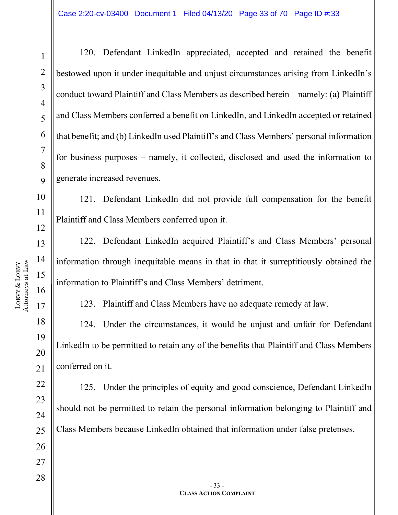27

28

1

120. Defendant LinkedIn appreciated, accepted and retained the benefit bestowed upon it under inequitable and unjust circumstances arising from LinkedIn's conduct toward Plaintiff and Class Members as described herein – namely: (a) Plaintiff and Class Members conferred a benefit on LinkedIn, and LinkedIn accepted or retained that benefit; and (b) LinkedIn used Plaintiff's and Class Members' personal information for business purposes – namely, it collected, disclosed and used the information to generate increased revenues.

121. Defendant LinkedIn did not provide full compensation for the benefit Plaintiff and Class Members conferred upon it.

122. Defendant LinkedIn acquired Plaintiff's and Class Members' personal information through inequitable means in that in that it surreptitiously obtained the information to Plaintiff's and Class Members' detriment.

123. Plaintiff and Class Members have no adequate remedy at law.

124. Under the circumstances, it would be unjust and unfair for Defendant LinkedIn to be permitted to retain any of the benefits that Plaintiff and Class Members conferred on it.

125. Under the principles of equity and good conscience, Defendant LinkedIn should not be permitted to retain the personal information belonging to Plaintiff and Class Members because LinkedIn obtained that information under false pretenses.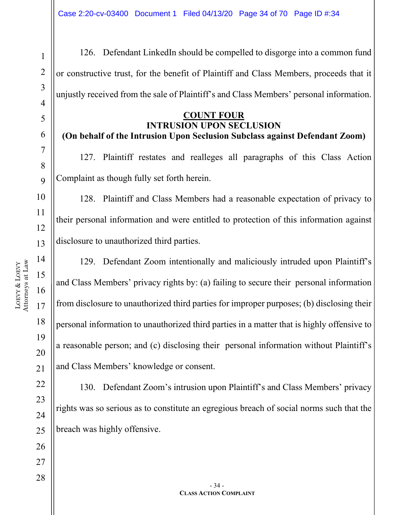126. Defendant LinkedIn should be compelled to disgorge into a common fund or constructive trust, for the benefit of Plaintiff and Class Members, proceeds that it unjustly received from the sale of Plaintiff's and Class Members' personal information.

#### **COUNT FOUR INTRUSION UPON SECLUSION**

# **(On behalf of the Intrusion Upon Seclusion Subclass against Defendant Zoom)**

127. Plaintiff restates and realleges all paragraphs of this Class Action Complaint as though fully set forth herein.

128. Plaintiff and Class Members had a reasonable expectation of privacy to their personal information and were entitled to protection of this information against disclosure to unauthorized third parties.

129. Defendant Zoom intentionally and maliciously intruded upon Plaintiff's and Class Members' privacy rights by: (a) failing to secure their personal information from disclosure to unauthorized third parties for improper purposes; (b) disclosing their personal information to unauthorized third parties in a matter that is highly offensive to a reasonable person; and (c) disclosing their personal information without Plaintiff's and Class Members' knowledge or consent.

130. Defendant Zoom's intrusion upon Plaintiff's and Class Members' privacy rights was so serious as to constitute an egregious breach of social norms such that the breach was highly offensive.

1

2

3

4

5

6

7

8

 $\overline{Q}$ 

10

11

12

13

14

15

16

17

18

19

20

21

22

23

24

25

26

27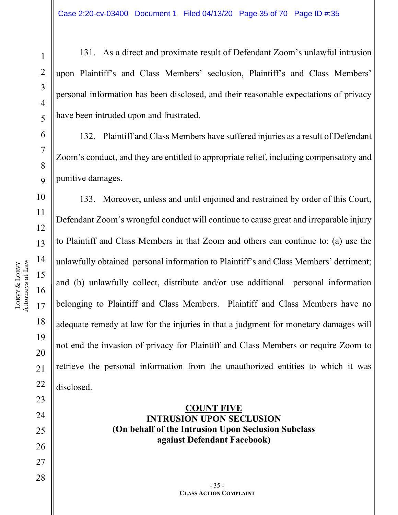26

27

28

1

131. As a direct and proximate result of Defendant Zoom's unlawful intrusion upon Plaintiff's and Class Members' seclusion, Plaintiff's and Class Members' personal information has been disclosed, and their reasonable expectations of privacy have been intruded upon and frustrated.

132. Plaintiff and Class Members have suffered injuries as a result of Defendant Zoom's conduct, and they are entitled to appropriate relief, including compensatory and punitive damages.

133. Moreover, unless and until enjoined and restrained by order of this Court, Defendant Zoom's wrongful conduct will continue to cause great and irreparable injury to Plaintiff and Class Members in that Zoom and others can continue to: (a) use the unlawfully obtained personal information to Plaintiff's and Class Members' detriment; and (b) unlawfully collect, distribute and/or use additional personal information belonging to Plaintiff and Class Members. Plaintiff and Class Members have no adequate remedy at law for the injuries in that a judgment for monetary damages will not end the invasion of privacy for Plaintiff and Class Members or require Zoom to retrieve the personal information from the unauthorized entities to which it was disclosed.

#### **COUNT FIVE INTRUSION UPON SECLUSION (On behalf of the Intrusion Upon Seclusion Subclass against Defendant Facebook)**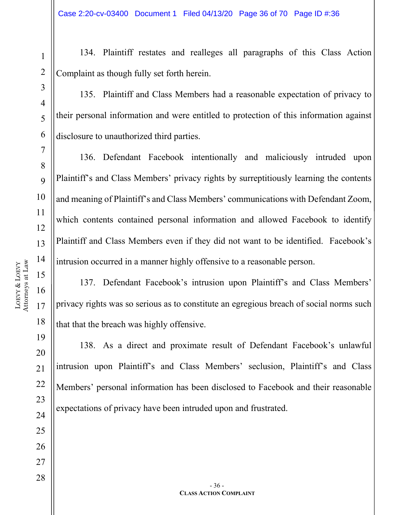134. Plaintiff restates and realleges all paragraphs of this Class Action Complaint as though fully set forth herein.

135. Plaintiff and Class Members had a reasonable expectation of privacy to their personal information and were entitled to protection of this information against disclosure to unauthorized third parties.

136. Defendant Facebook intentionally and maliciously intruded upon Plaintiff's and Class Members' privacy rights by surreptitiously learning the contents and meaning of Plaintiff's and Class Members' communications with Defendant Zoom, which contents contained personal information and allowed Facebook to identify Plaintiff and Class Members even if they did not want to be identified. Facebook's intrusion occurred in a manner highly offensive to a reasonable person.

137. Defendant Facebook's intrusion upon Plaintiff's and Class Members' privacy rights was so serious as to constitute an egregious breach of social norms such that that the breach was highly offensive.

138. As a direct and proximate result of Defendant Facebook's unlawful intrusion upon Plaintiff's and Class Members' seclusion, Plaintiff's and Class Members' personal information has been disclosed to Facebook and their reasonable expectations of privacy have been intruded upon and frustrated.

18

LOEVY &

LOEVY

19

20

21

22

23

24

25

26

27

1

2

3

4

5

6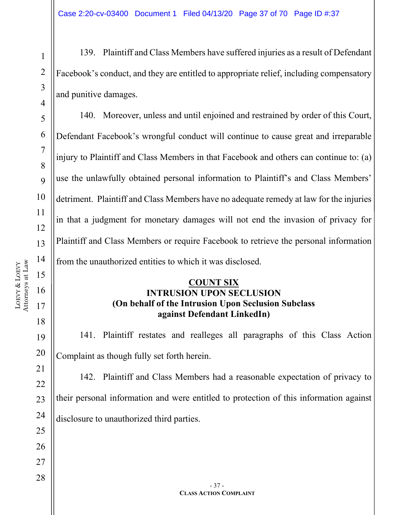139. Plaintiff and Class Members have suffered injuries as a result of Defendant Facebook's conduct, and they are entitled to appropriate relief, including compensatory and punitive damages.

140. Moreover, unless and until enjoined and restrained by order of this Court, Defendant Facebook's wrongful conduct will continue to cause great and irreparable injury to Plaintiff and Class Members in that Facebook and others can continue to: (a) use the unlawfully obtained personal information to Plaintiff's and Class Members' detriment. Plaintiff and Class Members have no adequate remedy at law for the injuries in that a judgment for monetary damages will not end the invasion of privacy for Plaintiff and Class Members or require Facebook to retrieve the personal information from the unauthorized entities to which it was disclosed.

#### **COUNT SIX INTRUSION UPON SECLUSION (On behalf of the Intrusion Upon Seclusion Subclass against Defendant LinkedIn)**

141. Plaintiff restates and realleges all paragraphs of this Class Action Complaint as though fully set forth herein.

142. Plaintiff and Class Members had a reasonable expectation of privacy to their personal information and were entitled to protection of this information against disclosure to unauthorized third parties.

1

2

3

4

5

6

7

8

 $\overline{Q}$ 

10

11

12

13

14

15

16

17

18

19

20

21

22

23

24

25

26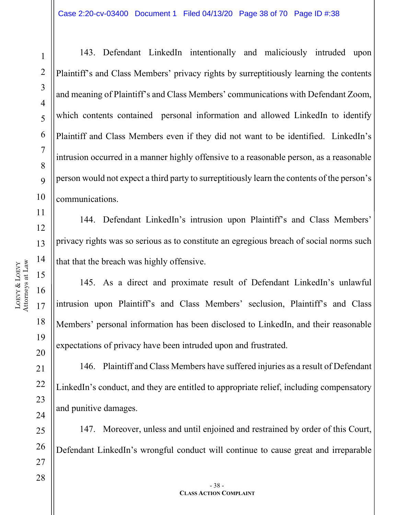LOEVY &

LOEVY

1

2

3

4

5

6

7

8

 $\overline{Q}$ 

143. Defendant LinkedIn intentionally and maliciously intruded upon Plaintiff's and Class Members' privacy rights by surreptitiously learning the contents and meaning of Plaintiff's and Class Members' communications with Defendant Zoom, which contents contained personal information and allowed LinkedIn to identify Plaintiff and Class Members even if they did not want to be identified. LinkedIn's intrusion occurred in a manner highly offensive to a reasonable person, as a reasonable person would not expect a third party to surreptitiously learn the contents of the person's communications.

144. Defendant LinkedIn's intrusion upon Plaintiff's and Class Members' privacy rights was so serious as to constitute an egregious breach of social norms such that that the breach was highly offensive.

145. As a direct and proximate result of Defendant LinkedIn's unlawful intrusion upon Plaintiff's and Class Members' seclusion, Plaintiff's and Class Members' personal information has been disclosed to LinkedIn, and their reasonable expectations of privacy have been intruded upon and frustrated.

146. Plaintiff and Class Members have suffered injuries as a result of Defendant LinkedIn's conduct, and they are entitled to appropriate relief, including compensatory and punitive damages.

147. Moreover, unless and until enjoined and restrained by order of this Court, Defendant LinkedIn's wrongful conduct will continue to cause great and irreparable

19

20

21

22

23

24

25

26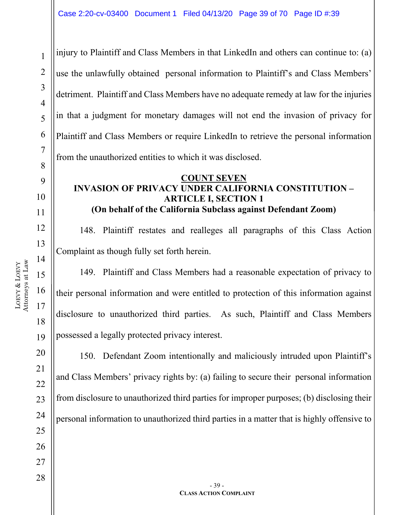28

1

injury to Plaintiff and Class Members in that LinkedIn and others can continue to: (a) use the unlawfully obtained personal information to Plaintiff's and Class Members' detriment. Plaintiff and Class Members have no adequate remedy at law for the injuries in that a judgment for monetary damages will not end the invasion of privacy for Plaintiff and Class Members or require LinkedIn to retrieve the personal information from the unauthorized entities to which it was disclosed.

#### **COUNT SEVEN INVASION OF PRIVACY UNDER CALIFORNIA CONSTITUTION – ARTICLE I, SECTION 1 (On behalf of the California Subclass against Defendant Zoom)**

148. Plaintiff restates and realleges all paragraphs of this Class Action Complaint as though fully set forth herein.

149. Plaintiff and Class Members had a reasonable expectation of privacy to their personal information and were entitled to protection of this information against disclosure to unauthorized third parties. As such, Plaintiff and Class Members possessed a legally protected privacy interest.

150. Defendant Zoom intentionally and maliciously intruded upon Plaintiff's and Class Members' privacy rights by: (a) failing to secure their personal information from disclosure to unauthorized third parties for improper purposes; (b) disclosing their personal information to unauthorized third parties in a matter that is highly offensive to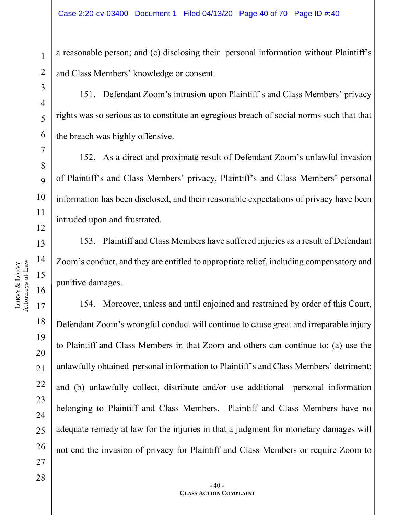a reasonable person; and (c) disclosing their personal information without Plaintiff's and Class Members' knowledge or consent.

151. Defendant Zoom's intrusion upon Plaintiff's and Class Members' privacy rights was so serious as to constitute an egregious breach of social norms such that that the breach was highly offensive.

152. As a direct and proximate result of Defendant Zoom's unlawful invasion of Plaintiff's and Class Members' privacy, Plaintiff's and Class Members' personal information has been disclosed, and their reasonable expectations of privacy have been intruded upon and frustrated.

153. Plaintiff and Class Members have suffered injuries as a result of Defendant Zoom's conduct, and they are entitled to appropriate relief, including compensatory and punitive damages.

154. Moreover, unless and until enjoined and restrained by order of this Court, Defendant Zoom's wrongful conduct will continue to cause great and irreparable injury to Plaintiff and Class Members in that Zoom and others can continue to: (a) use the unlawfully obtained personal information to Plaintiff's and Class Members' detriment; and (b) unlawfully collect, distribute and/or use additional personal information belonging to Plaintiff and Class Members. Plaintiff and Class Members have no adequate remedy at law for the injuries in that a judgment for monetary damages will not end the invasion of privacy for Plaintiff and Class Members or require Zoom to

1

2

3

4

5

6

7

8

9

10

11

12

13

14

15

16

17

18

19

20

21

22

23

24

25

26

27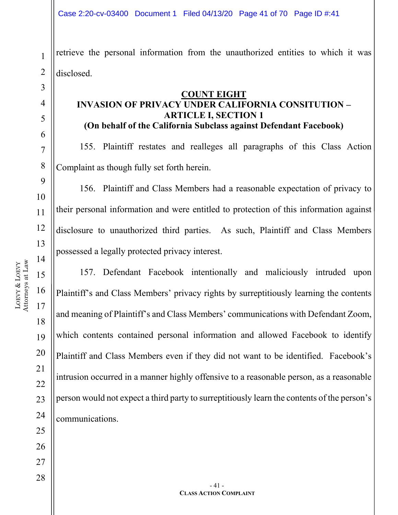1 2 retrieve the personal information from the unauthorized entities to which it was disclosed.

#### **COUNT EIGHT INVASION OF PRIVACY UNDER CALIFORNIA CONSITUTION – ARTICLE I, SECTION 1 (On behalf of the California Subclass against Defendant Facebook)**

155. Plaintiff restates and realleges all paragraphs of this Class Action Complaint as though fully set forth herein.

156. Plaintiff and Class Members had a reasonable expectation of privacy to their personal information and were entitled to protection of this information against disclosure to unauthorized third parties. As such, Plaintiff and Class Members possessed a legally protected privacy interest.

157. Defendant Facebook intentionally and maliciously intruded upon Plaintiff's and Class Members' privacy rights by surreptitiously learning the contents and meaning of Plaintiff's and Class Members' communications with Defendant Zoom, which contents contained personal information and allowed Facebook to identify Plaintiff and Class Members even if they did not want to be identified. Facebook's intrusion occurred in a manner highly offensive to a reasonable person, as a reasonable person would not expect a third party to surreptitiously learn the contents of the person's communications.

3

4

5

6

7

8

9

10

11

12

13

14

15

16

17

18

19

20

21

22

23

24

25

26

27

28

- 41 - **CLASS ACTION COMPLAINT**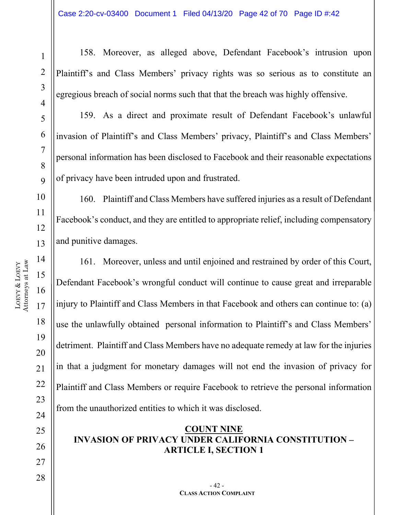LOEVY

1

2

3

4

5

6

7

8

 $\overline{Q}$ 

158. Moreover, as alleged above, Defendant Facebook's intrusion upon Plaintiff's and Class Members' privacy rights was so serious as to constitute an egregious breach of social norms such that that the breach was highly offensive.

159. As a direct and proximate result of Defendant Facebook's unlawful invasion of Plaintiff's and Class Members' privacy, Plaintiff's and Class Members' personal information has been disclosed to Facebook and their reasonable expectations of privacy have been intruded upon and frustrated.

160. Plaintiff and Class Members have suffered injuries as a result of Defendant Facebook's conduct, and they are entitled to appropriate relief, including compensatory and punitive damages.

161. Moreover, unless and until enjoined and restrained by order of this Court, Defendant Facebook's wrongful conduct will continue to cause great and irreparable injury to Plaintiff and Class Members in that Facebook and others can continue to: (a) use the unlawfully obtained personal information to Plaintiff's and Class Members' detriment. Plaintiff and Class Members have no adequate remedy at law for the injuries in that a judgment for monetary damages will not end the invasion of privacy for Plaintiff and Class Members or require Facebook to retrieve the personal information from the unauthorized entities to which it was disclosed.

#### **COUNT NINE INVASION OF PRIVACY UNDER CALIFORNIA CONSTITUTION – ARTICLE I, SECTION 1**

19

20

21

22

23

24

25

26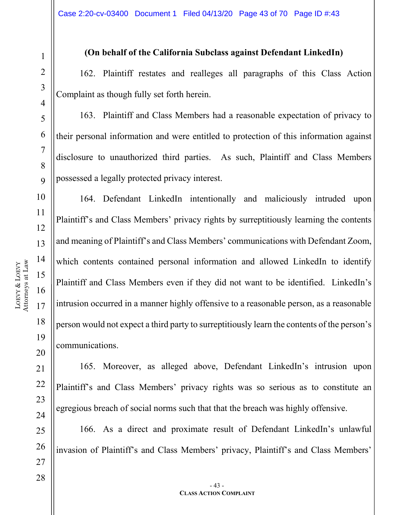#### 2 3 4 5 6 7 8  $\overline{Q}$ 10 11 12 13 14 15 16 17 18 19 20 21 22 Attorneys at Law

LOEVY &

LOEVY

1

#### **(On behalf of the California Subclass against Defendant LinkedIn)**

162. Plaintiff restates and realleges all paragraphs of this Class Action Complaint as though fully set forth herein.

163. Plaintiff and Class Members had a reasonable expectation of privacy to their personal information and were entitled to protection of this information against disclosure to unauthorized third parties. As such, Plaintiff and Class Members possessed a legally protected privacy interest.

164. Defendant LinkedIn intentionally and maliciously intruded upon Plaintiff's and Class Members' privacy rights by surreptitiously learning the contents and meaning of Plaintiff's and Class Members' communications with Defendant Zoom, which contents contained personal information and allowed LinkedIn to identify Plaintiff and Class Members even if they did not want to be identified. LinkedIn's intrusion occurred in a manner highly offensive to a reasonable person, as a reasonable person would not expect a third party to surreptitiously learn the contents of the person's communications.

165. Moreover, as alleged above, Defendant LinkedIn's intrusion upon Plaintiff's and Class Members' privacy rights was so serious as to constitute an egregious breach of social norms such that that the breach was highly offensive.

166. As a direct and proximate result of Defendant LinkedIn's unlawful invasion of Plaintiff's and Class Members' privacy, Plaintiff's and Class Members'

23

24

25

26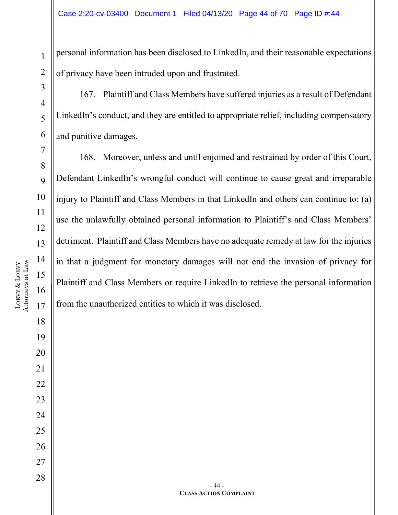personal information has been disclosed to LinkedIn, and their reasonable expectations of privacy have been intruded upon and frustrated.

167. Plaintiff and Class Members have suffered injuries as a result of Defendant LinkedIn's conduct, and they are entitled to appropriate relief, including compensatory and punitive damages.

168. Moreover, unless and until enjoined and restrained by order of this Court, Defendant LinkedIn's wrongful conduct will continue to cause great and irreparable injury to Plaintiff and Class Members in that LinkedIn and others can continue to: (a) use the unlawfully obtained personal information to Plaintiff's and Class Members' detriment. Plaintiff and Class Members have no adequate remedy at law for the injuries in that a judgment for monetary damages will not end the invasion of privacy for Plaintiff and Class Members or require LinkedIn to retrieve the personal information from the unauthorized entities to which it was disclosed.

1

2

3

4

5

6

7

8

9

10

11

14

16

18

19

20

21

22

23

24

25

26

27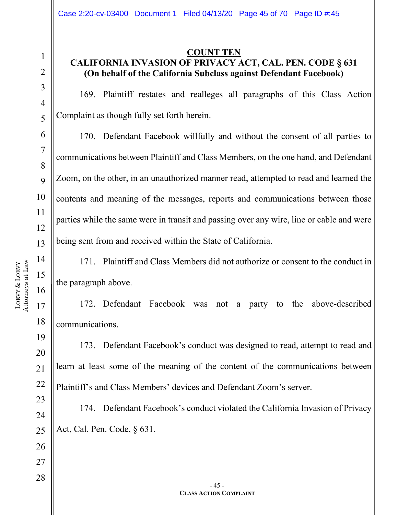#### **COUNT TEN CALIFORNIA INVASION OF PRIVACY ACT, CAL. PEN. CODE § 631 (On behalf of the California Subclass against Defendant Facebook)**

169. Plaintiff restates and realleges all paragraphs of this Class Action Complaint as though fully set forth herein.

170. Defendant Facebook willfully and without the consent of all parties to communications between Plaintiff and Class Members, on the one hand, and Defendant Zoom, on the other, in an unauthorized manner read, attempted to read and learned the contents and meaning of the messages, reports and communications between those parties while the same were in transit and passing over any wire, line or cable and were being sent from and received within the State of California.

171. Plaintiff and Class Members did not authorize or consent to the conduct in the paragraph above.

172. Defendant Facebook was not a party to the above-described communications.

173. Defendant Facebook's conduct was designed to read, attempt to read and learn at least some of the meaning of the content of the communications between Plaintiff's and Class Members' devices and Defendant Zoom's server.

174. Defendant Facebook's conduct violated the California Invasion of Privacy Act, Cal. Pen. Code, § 631.

1

2

3

4

5

6

7

8

9

10

11

12

13

14

15

16

17

18

19

20

21

22

23

24

25

26

27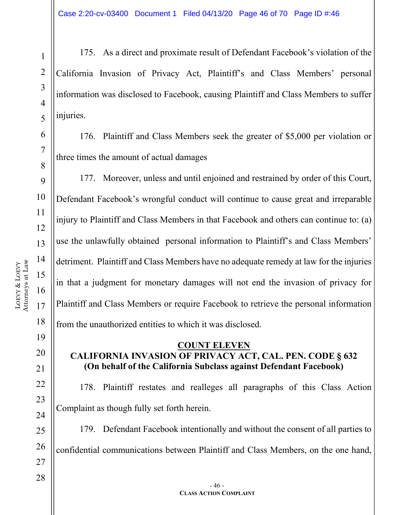175. As a direct and proximate result of Defendant Facebook's violation of the California Invasion of Privacy Act, Plaintiff's and Class Members' personal information was disclosed to Facebook, causing Plaintiff and Class Members to suffer injuries.

176. Plaintiff and Class Members seek the greater of \$5,000 per violation or three times the amount of actual damages

177. Moreover, unless and until enjoined and restrained by order of this Court, Defendant Facebook's wrongful conduct will continue to cause great and irreparable injury to Plaintiff and Class Members in that Facebook and others can continue to: (a) use the unlawfully obtained personal information to Plaintiff's and Class Members' detriment. Plaintiff and Class Members have no adequate remedy at law for the injuries in that a judgment for monetary damages will not end the invasion of privacy for Plaintiff and Class Members or require Facebook to retrieve the personal information from the unauthorized entities to which it was disclosed.

#### **COUNT ELEVEN CALIFORNIA INVASION OF PRIVACY ACT, CAL. PEN. CODE § 632 (On behalf of the California Subclass against Defendant Facebook)**

178. Plaintiff restates and realleges all paragraphs of this Class Action Complaint as though fully set forth herein.

179. Defendant Facebook intentionally and without the consent of all parties to confidential communications between Plaintiff and Class Members, on the one hand,

1

2

3

4

5

6

7

8

9

10

11

12

13

14

15

16

17

18

19

20

21

22

23

24

25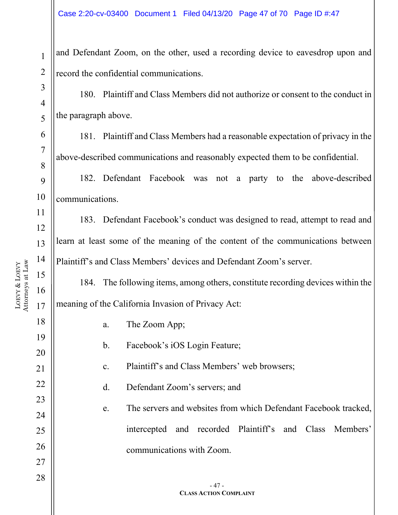and Defendant Zoom, on the other, used a recording device to eavesdrop upon and record the confidential communications.

180. Plaintiff and Class Members did not authorize or consent to the conduct in the paragraph above.

181. Plaintiff and Class Members had a reasonable expectation of privacy in the above-described communications and reasonably expected them to be confidential.

182. Defendant Facebook was not a party to the above-described communications.

183. Defendant Facebook's conduct was designed to read, attempt to read and learn at least some of the meaning of the content of the communications between Plaintiff's and Class Members' devices and Defendant Zoom's server.

184. The following items, among others, constitute recording devices within the meaning of the California Invasion of Privacy Act:

18 19 20 21 22 23 24 25 26 27 28 - 47 - **CLASS ACTION COMPLAINT** a. The Zoom App; b. Facebook's iOS Login Feature; c. Plaintiff's and Class Members' web browsers; d. Defendant Zoom's servers; and e. The servers and websites from which Defendant Facebook tracked, intercepted and recorded Plaintiff's and Class Members' communications with Zoom.

1

2

3

4

5

6

7

8

9

10

11

12

13

14

15

16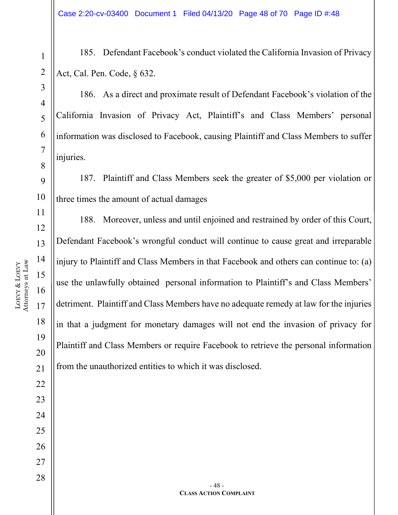185. Defendant Facebook's conduct violated the California Invasion of Privacy Act, Cal. Pen. Code, § 632.

186. As a direct and proximate result of Defendant Facebook's violation of the California Invasion of Privacy Act, Plaintiff's and Class Members' personal information was disclosed to Facebook, causing Plaintiff and Class Members to suffer injuries.

187. Plaintiff and Class Members seek the greater of \$5,000 per violation or three times the amount of actual damages

188. Moreover, unless and until enjoined and restrained by order of this Court, Defendant Facebook's wrongful conduct will continue to cause great and irreparable injury to Plaintiff and Class Members in that Facebook and others can continue to: (a) use the unlawfully obtained personal information to Plaintiff's and Class Members' detriment. Plaintiff and Class Members have no adequate remedy at law for the injuries in that a judgment for monetary damages will not end the invasion of privacy for Plaintiff and Class Members or require Facebook to retrieve the personal information from the unauthorized entities to which it was disclosed.

LOEVY &

Attorneys at Law

Attorneys at Law

LOEVY

26

27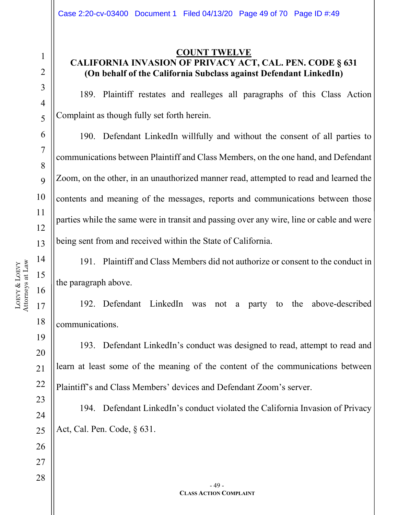#### **COUNT TWELVE CALIFORNIA INVASION OF PRIVACY ACT, CAL. PEN. CODE § 631 (On behalf of the California Subclass against Defendant LinkedIn)**

189. Plaintiff restates and realleges all paragraphs of this Class Action Complaint as though fully set forth herein.

190. Defendant LinkedIn willfully and without the consent of all parties to communications between Plaintiff and Class Members, on the one hand, and Defendant Zoom, on the other, in an unauthorized manner read, attempted to read and learned the contents and meaning of the messages, reports and communications between those parties while the same were in transit and passing over any wire, line or cable and were being sent from and received within the State of California.

191. Plaintiff and Class Members did not authorize or consent to the conduct in the paragraph above.

192. Defendant LinkedIn was not a party to the above-described communications.

193. Defendant LinkedIn's conduct was designed to read, attempt to read and learn at least some of the meaning of the content of the communications between Plaintiff's and Class Members' devices and Defendant Zoom's server.

194. Defendant LinkedIn's conduct violated the California Invasion of Privacy Act, Cal. Pen. Code, § 631.

1

2

3

4

5

6

7

8

9

10

11

12

13

14

15

16

17

18

19

20

21

22

23

24

25

26

27

```
- 49 -
CLASS ACTION COMPLAINT
```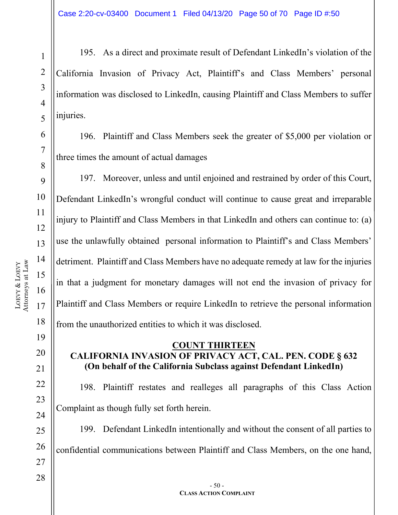195. As a direct and proximate result of Defendant LinkedIn's violation of the California Invasion of Privacy Act, Plaintiff's and Class Members' personal information was disclosed to LinkedIn, causing Plaintiff and Class Members to suffer injuries.

196. Plaintiff and Class Members seek the greater of \$5,000 per violation or three times the amount of actual damages

197. Moreover, unless and until enjoined and restrained by order of this Court, Defendant LinkedIn's wrongful conduct will continue to cause great and irreparable injury to Plaintiff and Class Members in that LinkedIn and others can continue to: (a) use the unlawfully obtained personal information to Plaintiff's and Class Members' detriment. Plaintiff and Class Members have no adequate remedy at law for the injuries in that a judgment for monetary damages will not end the invasion of privacy for Plaintiff and Class Members or require LinkedIn to retrieve the personal information from the unauthorized entities to which it was disclosed.

#### **COUNT THIRTEEN CALIFORNIA INVASION OF PRIVACY ACT, CAL. PEN. CODE § 632 (On behalf of the California Subclass against Defendant LinkedIn)**

198. Plaintiff restates and realleges all paragraphs of this Class Action Complaint as though fully set forth herein.

199. Defendant LinkedIn intentionally and without the consent of all parties to confidential communications between Plaintiff and Class Members, on the one hand,

1

2

3

4

5

6

7

8

9

10

11

12

13

14

15

16

17

18

19

20

21

22

23

24

25

26

27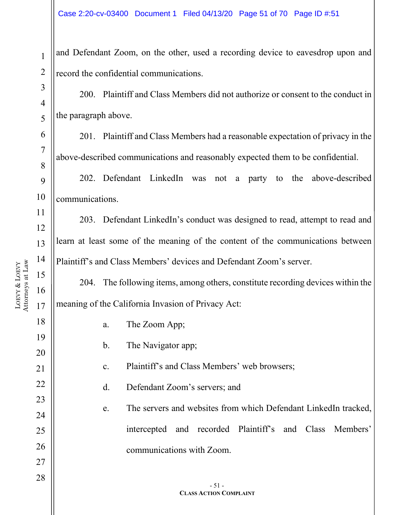and Defendant Zoom, on the other, used a recording device to eavesdrop upon and record the confidential communications.

200. Plaintiff and Class Members did not authorize or consent to the conduct in the paragraph above.

201. Plaintiff and Class Members had a reasonable expectation of privacy in the above-described communications and reasonably expected them to be confidential.

202. Defendant LinkedIn was not a party to the above-described communications.

203. Defendant LinkedIn's conduct was designed to read, attempt to read and learn at least some of the meaning of the content of the communications between Plaintiff's and Class Members' devices and Defendant Zoom's server.

204. The following items, among others, constitute recording devices within the meaning of the California Invasion of Privacy Act:

| a.             | The Zoom App;                                                   |
|----------------|-----------------------------------------------------------------|
| $\mathbf{b}$ . | The Navigator app;                                              |
| $\mathbf{c}$ . | Plaintiff's and Class Members' web browsers;                    |
| d.             | Defendant Zoom's servers; and                                   |
| e.             | The servers and websites from which Defendant LinkedIn tracked, |
|                | intercepted and recorded Plaintiff's and Class Members'         |
|                | communications with Zoom.                                       |
|                |                                                                 |
|                | $-51-$<br><b>CLASS ACTION COMPLAINT</b>                         |

1

2

3

4

5

6

7

8

9

10

11

12

13

14

15

16

17

18

19

20

21

22

23

24

25

26

27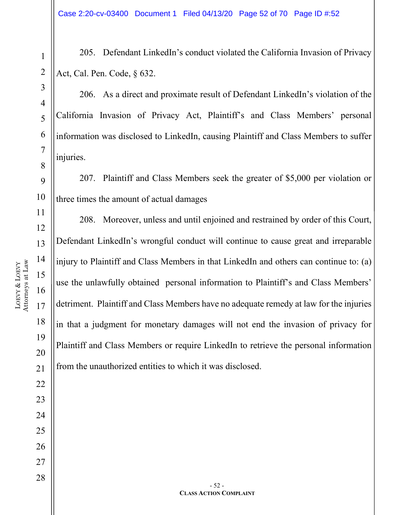205. Defendant LinkedIn's conduct violated the California Invasion of Privacy Act, Cal. Pen. Code, § 632.

206. As a direct and proximate result of Defendant LinkedIn's violation of the California Invasion of Privacy Act, Plaintiff's and Class Members' personal information was disclosed to LinkedIn, causing Plaintiff and Class Members to suffer injuries.

207. Plaintiff and Class Members seek the greater of \$5,000 per violation or three times the amount of actual damages

208. Moreover, unless and until enjoined and restrained by order of this Court, Defendant LinkedIn's wrongful conduct will continue to cause great and irreparable injury to Plaintiff and Class Members in that LinkedIn and others can continue to: (a) use the unlawfully obtained personal information to Plaintiff's and Class Members' detriment. Plaintiff and Class Members have no adequate remedy at law for the injuries in that a judgment for monetary damages will not end the invasion of privacy for Plaintiff and Class Members or require LinkedIn to retrieve the personal information from the unauthorized entities to which it was disclosed.

LOEVY &

Attorneys at Law

Attorneys at Law

LOEVY

25

26

27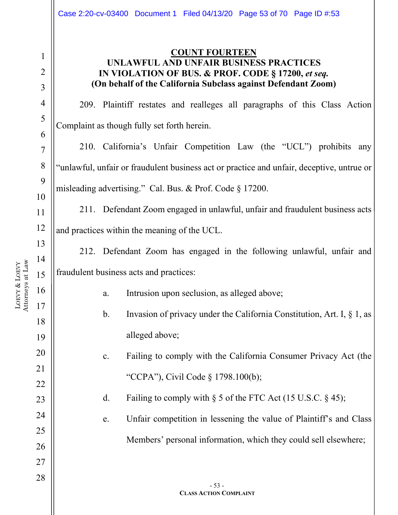#### **COUNT FOURTEEN UNLAWFUL AND UNFAIR BUSINESS PRACTICES IN VIOLATION OF BUS. & PROF. CODE § 17200,** *et seq.* **(On behalf of the California Subclass against Defendant Zoom)**

209. Plaintiff restates and realleges all paragraphs of this Class Action Complaint as though fully set forth herein.

210. California's Unfair Competition Law (the "UCL") prohibits any "unlawful, unfair or fraudulent business act or practice and unfair, deceptive, untrue or misleading advertising." Cal. Bus. & Prof. Code § 17200.

211. Defendant Zoom engaged in unlawful, unfair and fraudulent business acts and practices within the meaning of the UCL.

212. Defendant Zoom has engaged in the following unlawful, unfair and fraudulent business acts and practices:

a. Intrusion upon seclusion, as alleged above;

b. Invasion of privacy under the California Constitution, Art. I, § 1, as alleged above;

c. Failing to comply with the California Consumer Privacy Act (the "CCPA"), Civil Code § 1798.100(b);

d. Failing to comply with  $\S$  5 of the FTC Act (15 U.S.C.  $\S$  45);

e. Unfair competition in lessening the value of Plaintiff's and Class Members' personal information, which they could sell elsewhere;

LOEVY & LOEVY Attorneys at Law 1

2

3

4

5

6

7

8

9

10

11

12

13

14

15

16

17

18

19

20

21

22

23

24

25

26

27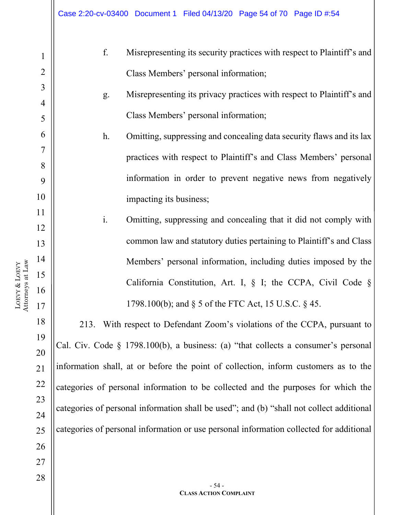|                | f.             | Misrepresenting its security practices with respect to Plaintiff's and              |
|----------------|----------------|-------------------------------------------------------------------------------------|
| $\mathbf{1}$   |                |                                                                                     |
| $\overline{2}$ |                | Class Members' personal information;                                                |
| 3              | g.             | Misrepresenting its privacy practices with respect to Plaintiff's and               |
| 4              |                |                                                                                     |
| 5              |                | Class Members' personal information;                                                |
| 6              | $h$ .          | Omitting, suppressing and concealing data security flaws and its lax                |
| 7              |                | practices with respect to Plaintiff's and Class Members' personal                   |
| 8              |                |                                                                                     |
| 9              |                | information in order to prevent negative news from negatively                       |
| 10             |                | impacting its business;                                                             |
| 11             | $\mathbf{i}$ . | Omitting, suppressing and concealing that it did not comply with                    |
| 12             |                |                                                                                     |
| 13             |                | common law and statutory duties pertaining to Plaintiff's and Class                 |
| 14             |                | Members' personal information, including duties imposed by the                      |
| 15             |                | California Constitution, Art. I, $\S$ I; the CCPA, Civil Code $\S$                  |
| 16             |                |                                                                                     |
| 17             |                | 1798.100(b); and § 5 of the FTC Act, 15 U.S.C. § 45.                                |
| 18             | 213.           | With respect to Defendant Zoom's violations of the CCPA, pursuant to                |
| 19             |                | Cal. Civ. Code § 1798.100(b), a business: (a) "that collects a consumer's personal  |
| 20             |                |                                                                                     |
| 21             |                | information shall, at or before the point of collection, inform customers as to the |
| 22             |                | categories of personal information to be collected and the purposes for which the   |

LOEVY & LOEVY Attorneys at Law

> 27 28

> 23

24

25

26

categories of personal information shall be used"; and (b) "shall not collect additional

categories of personal information or use personal information collected for additional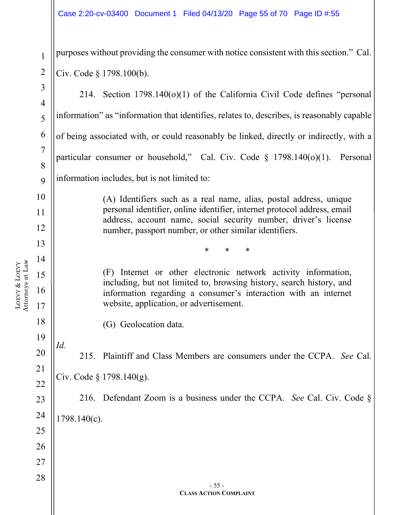purposes without providing the consumer with notice consistent with this section." Cal. Civ. Code § 1798.100(b).

214. Section 1798.140(o)(1) of the California Civil Code defines "personal information" as "information that identifies, relates to, describes, is reasonably capable of being associated with, or could reasonably be linked, directly or indirectly, with a particular consumer or household," Cal. Civ. Code § 1798.140(o)(1). Personal information includes, but is not limited to:

> (A) Identifiers such as a real name, alias, postal address, unique personal identifier, online identifier, internet protocol address, email address, account name, social security number, driver's license number, passport number, or other similar identifiers.

> > \* \* \*

(F) Internet or other electronic network activity information, including, but not limited to, browsing history, search history, and information regarding a consumer's interaction with an internet website, application, or advertisement.

(G) Geolocation data.

*Id.* 215. Plaintiff and Class Members are consumers under the CCPA. *See* Cal. Civ. Code § 1798.140(g).

216. Defendant Zoom is a business under the CCPA. *See* Cal. Civ. Code § 1798.140(c).

LOEVY & LOEVY Attorneys at Law 1

2

3

4

5

6

7

8

 $\overline{Q}$ 

10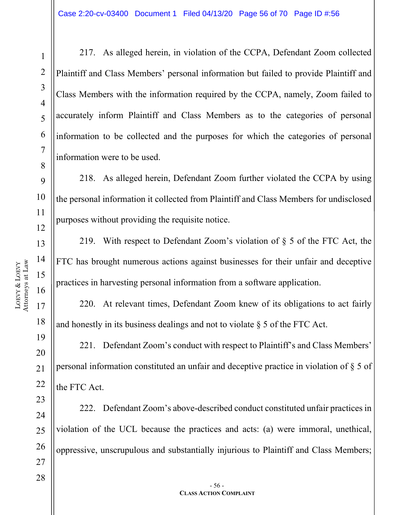LOEVY &

LOEVY

1

217. As alleged herein, in violation of the CCPA, Defendant Zoom collected Plaintiff and Class Members' personal information but failed to provide Plaintiff and Class Members with the information required by the CCPA, namely, Zoom failed to accurately inform Plaintiff and Class Members as to the categories of personal information to be collected and the purposes for which the categories of personal information were to be used.

218. As alleged herein, Defendant Zoom further violated the CCPA by using the personal information it collected from Plaintiff and Class Members for undisclosed purposes without providing the requisite notice.

219. With respect to Defendant Zoom's violation of § 5 of the FTC Act, the FTC has brought numerous actions against businesses for their unfair and deceptive practices in harvesting personal information from a software application.

220. At relevant times, Defendant Zoom knew of its obligations to act fairly and honestly in its business dealings and not to violate § 5 of the FTC Act.

221. Defendant Zoom's conduct with respect to Plaintiff's and Class Members' personal information constituted an unfair and deceptive practice in violation of § 5 of the FTC Act.

222. Defendant Zoom's above-described conduct constituted unfair practices in violation of the UCL because the practices and acts: (a) were immoral, unethical, oppressive, unscrupulous and substantially injurious to Plaintiff and Class Members;

24

25

26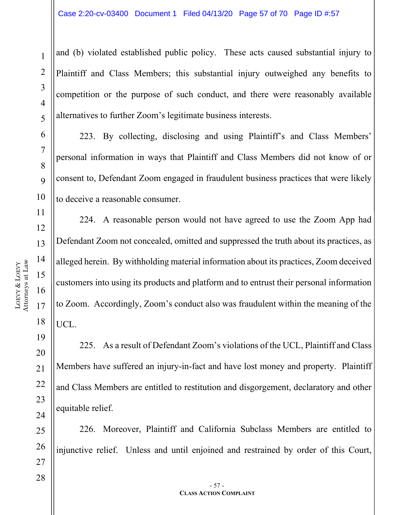and (b) violated established public policy. These acts caused substantial injury to Plaintiff and Class Members; this substantial injury outweighed any benefits to competition or the purpose of such conduct, and there were reasonably available alternatives to further Zoom's legitimate business interests.

223. By collecting, disclosing and using Plaintiff's and Class Members' personal information in ways that Plaintiff and Class Members did not know of or consent to, Defendant Zoom engaged in fraudulent business practices that were likely to deceive a reasonable consumer.

224. A reasonable person would not have agreed to use the Zoom App had Defendant Zoom not concealed, omitted and suppressed the truth about its practices, as alleged herein. By withholding material information about its practices, Zoom deceived customers into using its products and platform and to entrust their personal information to Zoom. Accordingly, Zoom's conduct also was fraudulent within the meaning of the UCL.

225. As a result of Defendant Zoom's violations of the UCL, Plaintiff and Class Members have suffered an injury-in-fact and have lost money and property. Plaintiff and Class Members are entitled to restitution and disgorgement, declaratory and other equitable relief.

226. Moreover, Plaintiff and California Subclass Members are entitled to injunctive relief. Unless and until enjoined and restrained by order of this Court,

1

2

3

4

5

6

7

8

9

10

11

12

13

14

15

16

17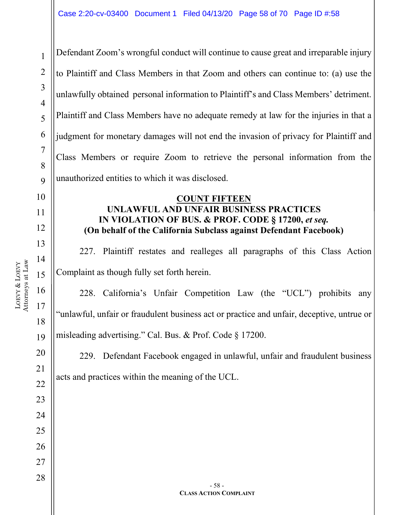1 2 3 4 5 6 7 8  $\overline{Q}$ 10 11 12 13 14 15 16 17 18 19 20 21 22 23 24 25 26 27 28 - 58 - **CLASS ACTION COMPLAINT** Defendant Zoom's wrongful conduct will continue to cause great and irreparable injury to Plaintiff and Class Members in that Zoom and others can continue to: (a) use the unlawfully obtained personal information to Plaintiff's and Class Members' detriment. Plaintiff and Class Members have no adequate remedy at law for the injuries in that a judgment for monetary damages will not end the invasion of privacy for Plaintiff and Class Members or require Zoom to retrieve the personal information from the unauthorized entities to which it was disclosed. **COUNT FIFTEEN UNLAWFUL AND UNFAIR BUSINESS PRACTICES IN VIOLATION OF BUS. & PROF. CODE § 17200,** *et seq.* **(On behalf of the California Subclass against Defendant Facebook)** 227. Plaintiff restates and realleges all paragraphs of this Class Action Complaint as though fully set forth herein. 228. California's Unfair Competition Law (the "UCL") prohibits any "unlawful, unfair or fraudulent business act or practice and unfair, deceptive, untrue or misleading advertising." Cal. Bus. & Prof. Code § 17200. 229. Defendant Facebook engaged in unlawful, unfair and fraudulent business acts and practices within the meaning of the UCL.

Attorneys at Law Attorneys at Law LOEVY LOEVY &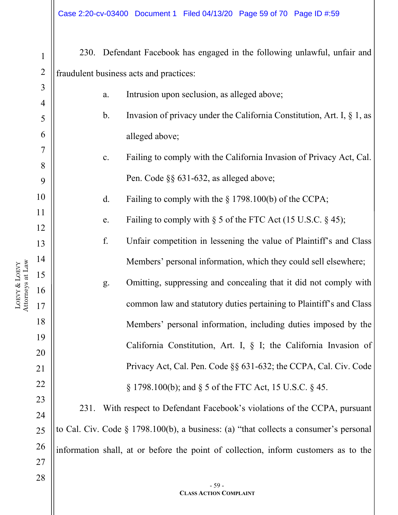| $\mathbf{1}$   |                                         |                | 230. Defendant Facebook has engaged in the following unlawful, unfair and                |  |  |
|----------------|-----------------------------------------|----------------|------------------------------------------------------------------------------------------|--|--|
| $\overline{2}$ | fraudulent business acts and practices: |                |                                                                                          |  |  |
| 3              |                                         | a.             | Intrusion upon seclusion, as alleged above;                                              |  |  |
| $\overline{4}$ |                                         |                |                                                                                          |  |  |
| 5              |                                         | $\mathbf b$ .  | Invasion of privacy under the California Constitution, Art. I, $\S$ 1, as                |  |  |
| 6              |                                         |                | alleged above;                                                                           |  |  |
| 7              |                                         | $\mathbf{c}$ . | Failing to comply with the California Invasion of Privacy Act, Cal.                      |  |  |
| 8              |                                         |                | Pen. Code §§ 631-632, as alleged above;                                                  |  |  |
| 9              |                                         |                |                                                                                          |  |  |
| 10             |                                         | d.             | Failing to comply with the $\S$ 1798.100(b) of the CCPA;                                 |  |  |
| 11             |                                         | e.             | Failing to comply with $\S$ 5 of the FTC Act (15 U.S.C. $\S$ 45);                        |  |  |
| 12<br>13       |                                         | f.             | Unfair competition in lessening the value of Plaintiff's and Class                       |  |  |
| 14             |                                         |                | Members' personal information, which they could sell elsewhere;                          |  |  |
| 15             |                                         |                |                                                                                          |  |  |
| 16             |                                         | g.             | Omitting, suppressing and concealing that it did not comply with                         |  |  |
| 17             |                                         |                | common law and statutory duties pertaining to Plaintiff's and Class                      |  |  |
| 18             |                                         |                | Members' personal information, including duties imposed by the                           |  |  |
| 19             |                                         |                | California Constitution, Art. I, $\S$ I; the California Invasion of                      |  |  |
| 20             |                                         |                |                                                                                          |  |  |
| 21             |                                         |                | Privacy Act, Cal. Pen. Code §§ 631-632; the CCPA, Cal. Civ. Code                         |  |  |
| 22             |                                         |                | $\S 1798.100(b)$ ; and $\S 5$ of the FTC Act, 15 U.S.C. $\S 45$ .                        |  |  |
| 23             | 231.                                    |                | With respect to Defendant Facebook's violations of the CCPA, pursuant                    |  |  |
| 24             |                                         |                |                                                                                          |  |  |
| 25             |                                         |                | to Cal. Civ. Code $\S$ 1798.100(b), a business: (a) "that collects a consumer's personal |  |  |
| 26             |                                         |                | information shall, at or before the point of collection, inform customers as to the      |  |  |
| 27             |                                         |                |                                                                                          |  |  |
| 28             |                                         |                | $-59-$                                                                                   |  |  |
|                |                                         |                | <b>CLASS ACTION COMPLAINT</b>                                                            |  |  |

LOEVY &

Attorneys at Law

LOEVY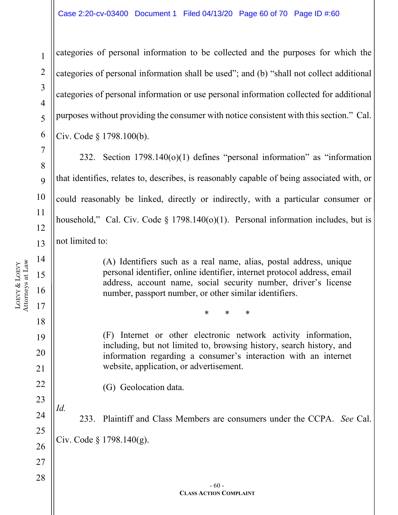categories of personal information to be collected and the purposes for which the categories of personal information shall be used"; and (b) "shall not collect additional categories of personal information or use personal information collected for additional purposes without providing the consumer with notice consistent with this section." Cal. Civ. Code § 1798.100(b).

232. Section 1798.140(o)(1) defines "personal information" as "information that identifies, relates to, describes, is reasonably capable of being associated with, or could reasonably be linked, directly or indirectly, with a particular consumer or household," Cal. Civ. Code § 1798.140(o)(1). Personal information includes, but is not limited to:

> (A) Identifiers such as a real name, alias, postal address, unique personal identifier, online identifier, internet protocol address, email address, account name, social security number, driver's license number, passport number, or other similar identifiers.

> > \* \* \*

(F) Internet or other electronic network activity information, including, but not limited to, browsing history, search history, and information regarding a consumer's interaction with an internet website, application, or advertisement.

(G) Geolocation data.

*Id.* 233. Plaintiff and Class Members are consumers under the CCPA. *See* Cal. Civ. Code  $\S 1798.140(g)$ .

1

2

3

4

5

6

7

8

 $\overline{Q}$ 

10

11

12

13

14

15

16

17

18

19

20

21

22

23

24

25

26

27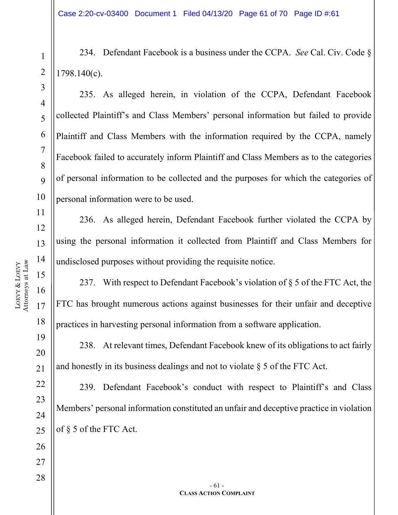234. Defendant Facebook is a business under the CCPA. *See* Cal. Civ. Code § 1798.140(c).

235. As alleged herein, in violation of the CCPA, Defendant Facebook collected Plaintiff's and Class Members' personal information but failed to provide Plaintiff and Class Members with the information required by the CCPA, namely Facebook failed to accurately inform Plaintiff and Class Members as to the categories of personal information to be collected and the purposes for which the categories of personal information were to be used.

236. As alleged herein, Defendant Facebook further violated the CCPA by using the personal information it collected from Plaintiff and Class Members for undisclosed purposes without providing the requisite notice.

237. With respect to Defendant Facebook's violation of § 5 of the FTC Act, the FTC has brought numerous actions against businesses for their unfair and deceptive practices in harvesting personal information from a software application.

238. At relevant times, Defendant Facebook knew of its obligations to act fairly and honestly in its business dealings and not to violate  $\S$  5 of the FTC Act.

239. Defendant Facebook's conduct with respect to Plaintiff's and Class Members' personal information constituted an unfair and deceptive practice in violation of § 5 of the FTC Act.

1

2

3

4

5

6

7

8

9

10

11

12

13

14

15

16

17

18

19

20

21

22

23

24

25

26

27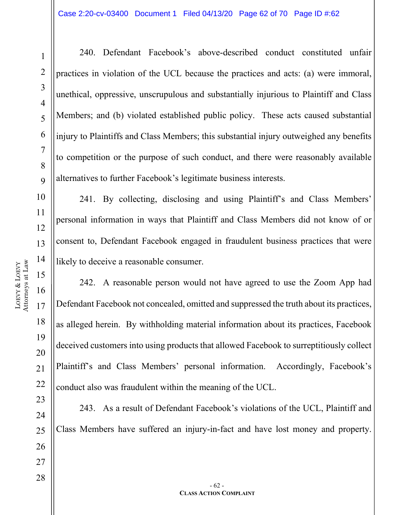LOEVY &

LOEVY

1

2

3

4

5

6

7

8

 $\overline{Q}$ 

240. Defendant Facebook's above-described conduct constituted unfair practices in violation of the UCL because the practices and acts: (a) were immoral, unethical, oppressive, unscrupulous and substantially injurious to Plaintiff and Class Members; and (b) violated established public policy. These acts caused substantial injury to Plaintiffs and Class Members; this substantial injury outweighed any benefits to competition or the purpose of such conduct, and there were reasonably available alternatives to further Facebook's legitimate business interests.

241. By collecting, disclosing and using Plaintiff's and Class Members' personal information in ways that Plaintiff and Class Members did not know of or consent to, Defendant Facebook engaged in fraudulent business practices that were likely to deceive a reasonable consumer.

242. A reasonable person would not have agreed to use the Zoom App had Defendant Facebook not concealed, omitted and suppressed the truth about its practices, as alleged herein. By withholding material information about its practices, Facebook deceived customers into using products that allowed Facebook to surreptitiously collect Plaintiff's and Class Members' personal information. Accordingly, Facebook's conduct also was fraudulent within the meaning of the UCL.

243. As a result of Defendant Facebook's violations of the UCL, Plaintiff and Class Members have suffered an injury-in-fact and have lost money and property.

22

23

24

25

26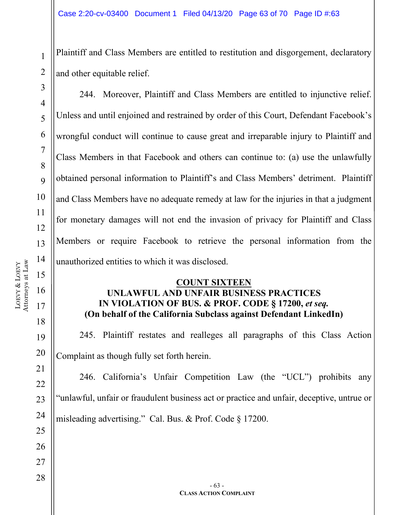Plaintiff and Class Members are entitled to restitution and disgorgement, declaratory and other equitable relief.

2 3

4

5

6

7

8

 $\overline{Q}$ 

10

11

12

13

14

15

16

17

18

19

20

21

22

23

24

25

26

27

28

1

244. Moreover, Plaintiff and Class Members are entitled to injunctive relief. Unless and until enjoined and restrained by order of this Court, Defendant Facebook's wrongful conduct will continue to cause great and irreparable injury to Plaintiff and Class Members in that Facebook and others can continue to: (a) use the unlawfully obtained personal information to Plaintiff's and Class Members' detriment. Plaintiff and Class Members have no adequate remedy at law for the injuries in that a judgment for monetary damages will not end the invasion of privacy for Plaintiff and Class Members or require Facebook to retrieve the personal information from the unauthorized entities to which it was disclosed.

#### **COUNT SIXTEEN UNLAWFUL AND UNFAIR BUSINESS PRACTICES IN VIOLATION OF BUS. & PROF. CODE § 17200,** *et seq.* **(On behalf of the California Subclass against Defendant LinkedIn)**

245. Plaintiff restates and realleges all paragraphs of this Class Action Complaint as though fully set forth herein.

246. California's Unfair Competition Law (the "UCL") prohibits any "unlawful, unfair or fraudulent business act or practice and unfair, deceptive, untrue or misleading advertising." Cal. Bus. & Prof. Code § 17200.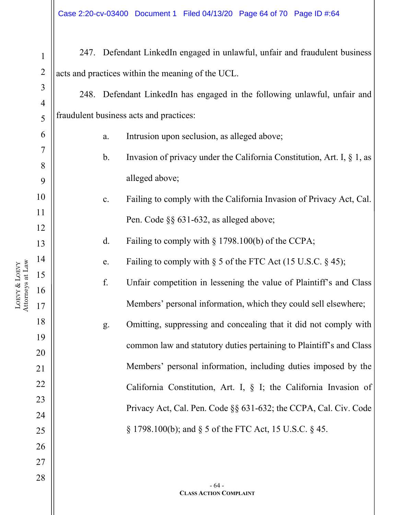| $\mathbf{1}$   |                                                   |                | 247. Defendant LinkedIn engaged in unlawful, unfair and fraudulent business |  |  |
|----------------|---------------------------------------------------|----------------|-----------------------------------------------------------------------------|--|--|
| $\overline{2}$ | acts and practices within the meaning of the UCL. |                |                                                                             |  |  |
| 3              |                                                   |                | 248. Defendant LinkedIn has engaged in the following unlawful, unfair and   |  |  |
| $\overline{4}$ |                                                   |                |                                                                             |  |  |
| 5              |                                                   |                | fraudulent business acts and practices:                                     |  |  |
| 6              |                                                   | $a$ .          | Intrusion upon seclusion, as alleged above;                                 |  |  |
| 7<br>8         |                                                   | $\mathbf b$ .  | Invasion of privacy under the California Constitution, Art. I, § 1, as      |  |  |
| 9              |                                                   |                | alleged above;                                                              |  |  |
| 10             |                                                   | $\mathbf{c}$ . | Failing to comply with the California Invasion of Privacy Act, Cal.         |  |  |
| 11             |                                                   |                |                                                                             |  |  |
| 12             |                                                   |                | Pen. Code §§ 631-632, as alleged above;                                     |  |  |
| 13             |                                                   | d.             | Failing to comply with $\S 1798.100(b)$ of the CCPA;                        |  |  |
| 14             |                                                   | e.             | Failing to comply with $\S$ 5 of the FTC Act (15 U.S.C. $\S$ 45);           |  |  |
| 15             |                                                   | f.             | Unfair competition in lessening the value of Plaintiff's and Class          |  |  |
| 16<br>17       |                                                   |                | Members' personal information, which they could sell elsewhere;             |  |  |
| 18             |                                                   | g.             | Omitting, suppressing and concealing that it did not comply with            |  |  |
| 19             |                                                   |                |                                                                             |  |  |
| 20             |                                                   |                | common law and statutory duties pertaining to Plaintiff's and Class         |  |  |
| 21             |                                                   |                | Members' personal information, including duties imposed by the              |  |  |
| 22             |                                                   |                | California Constitution, Art. I, § I; the California Invasion of            |  |  |
| 23             |                                                   |                | Privacy Act, Cal. Pen. Code §§ 631-632; the CCPA, Cal. Civ. Code            |  |  |
| 24             |                                                   |                |                                                                             |  |  |
| 25             |                                                   |                | $\S 1798.100(b)$ ; and $\S 5$ of the FTC Act, 15 U.S.C. $\S 45$ .           |  |  |
| 26             |                                                   |                |                                                                             |  |  |
| 27             |                                                   |                |                                                                             |  |  |
| 28             |                                                   |                |                                                                             |  |  |
|                |                                                   |                | $-64-$<br><b>CLASS ACTION COMPLAINT</b>                                     |  |  |

 $\frac{1}{2}$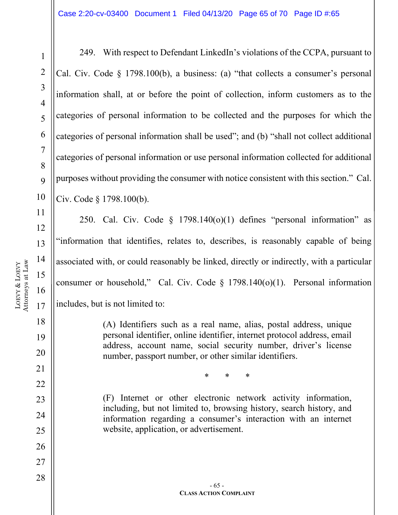1

2

3

4

5

7

8

 $\overline{Q}$ 

249. With respect to Defendant LinkedIn's violations of the CCPA, pursuant to Cal. Civ. Code § 1798.100(b), a business: (a) "that collects a consumer's personal information shall, at or before the point of collection, inform customers as to the categories of personal information to be collected and the purposes for which the categories of personal information shall be used"; and (b) "shall not collect additional categories of personal information or use personal information collected for additional purposes without providing the consumer with notice consistent with this section." Cal. Civ. Code § 1798.100(b).

250. Cal. Civ. Code  $\S$  1798.140(o)(1) defines "personal information" as "information that identifies, relates to, describes, is reasonably capable of being associated with, or could reasonably be linked, directly or indirectly, with a particular consumer or household," Cal. Civ. Code § 1798.140(o)(1). Personal information includes, but is not limited to:

> (A) Identifiers such as a real name, alias, postal address, unique personal identifier, online identifier, internet protocol address, email address, account name, social security number, driver's license number, passport number, or other similar identifiers.

> > \* \* \*

(F) Internet or other electronic network activity information, including, but not limited to, browsing history, search history, and information regarding a consumer's interaction with an internet website, application, or advertisement.

21

22

23

24

25

26

27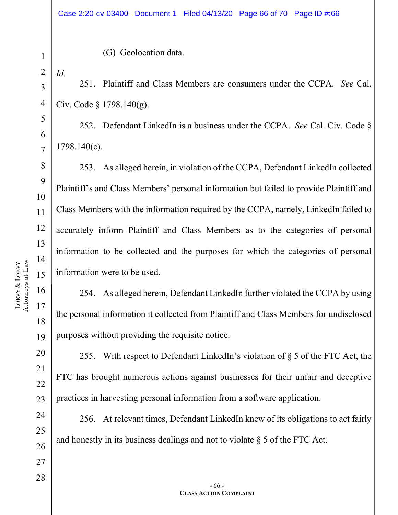(G) Geolocation data.

2 *Id.*

1

3

4

5

6

7

8

9

10

11

12

13

14

15

16

17

18

19

20

21

22

23

24

25

26

27

251. Plaintiff and Class Members are consumers under the CCPA. *See* Cal. Civ. Code § 1798.140(g).

252. Defendant LinkedIn is a business under the CCPA. *See* Cal. Civ. Code § 1798.140(c).

253. As alleged herein, in violation of the CCPA, Defendant LinkedIn collected Plaintiff's and Class Members' personal information but failed to provide Plaintiff and Class Members with the information required by the CCPA, namely, LinkedIn failed to accurately inform Plaintiff and Class Members as to the categories of personal information to be collected and the purposes for which the categories of personal information were to be used.

254. As alleged herein, Defendant LinkedIn further violated the CCPA by using the personal information it collected from Plaintiff and Class Members for undisclosed purposes without providing the requisite notice.

255. With respect to Defendant LinkedIn's violation of § 5 of the FTC Act, the FTC has brought numerous actions against businesses for their unfair and deceptive practices in harvesting personal information from a software application.

256. At relevant times, Defendant LinkedIn knew of its obligations to act fairly and honestly in its business dealings and not to violate § 5 of the FTC Act.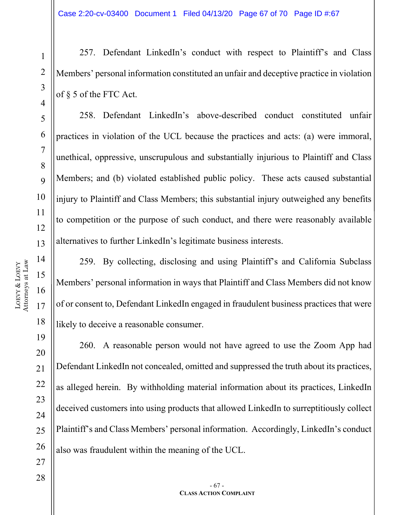257. Defendant LinkedIn's conduct with respect to Plaintiff's and Class Members' personal information constituted an unfair and deceptive practice in violation of § 5 of the FTC Act.

258. Defendant LinkedIn's above-described conduct constituted unfair practices in violation of the UCL because the practices and acts: (a) were immoral, unethical, oppressive, unscrupulous and substantially injurious to Plaintiff and Class Members; and (b) violated established public policy. These acts caused substantial injury to Plaintiff and Class Members; this substantial injury outweighed any benefits to competition or the purpose of such conduct, and there were reasonably available alternatives to further LinkedIn's legitimate business interests.

259. By collecting, disclosing and using Plaintiff's and California Subclass Members' personal information in ways that Plaintiff and Class Members did not know of or consent to, Defendant LinkedIn engaged in fraudulent business practices that were likely to deceive a reasonable consumer.

260. A reasonable person would not have agreed to use the Zoom App had Defendant LinkedIn not concealed, omitted and suppressed the truth about its practices, as alleged herein. By withholding material information about its practices, LinkedIn deceived customers into using products that allowed LinkedIn to surreptitiously collect Plaintiff's and Class Members' personal information. Accordingly, LinkedIn's conduct also was fraudulent within the meaning of the UCL.

1

2

3

4

5

6

7

8

 $\overline{Q}$ 

10

11

12

13

14

15

16

17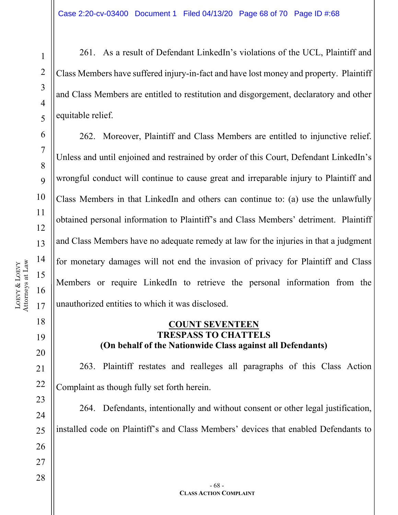261. As a result of Defendant LinkedIn's violations of the UCL, Plaintiff and Class Members have suffered injury-in-fact and have lost money and property. Plaintiff and Class Members are entitled to restitution and disgorgement, declaratory and other equitable relief.

262. Moreover, Plaintiff and Class Members are entitled to injunctive relief. Unless and until enjoined and restrained by order of this Court, Defendant LinkedIn's wrongful conduct will continue to cause great and irreparable injury to Plaintiff and Class Members in that LinkedIn and others can continue to: (a) use the unlawfully obtained personal information to Plaintiff's and Class Members' detriment. Plaintiff and Class Members have no adequate remedy at law for the injuries in that a judgment for monetary damages will not end the invasion of privacy for Plaintiff and Class Members or require LinkedIn to retrieve the personal information from the unauthorized entities to which it was disclosed.

#### **COUNT SEVENTEEN TRESPASS TO CHATTELS (On behalf of the Nationwide Class against all Defendants)**

263. Plaintiff restates and realleges all paragraphs of this Class Action Complaint as though fully set forth herein.

264. Defendants, intentionally and without consent or other legal justification, installed code on Plaintiff's and Class Members' devices that enabled Defendants to

1

2

3

4

5

6

7

8

9

10

11

12

13

14

15

16

17

18

19

20

21

22

23

24

25

26

27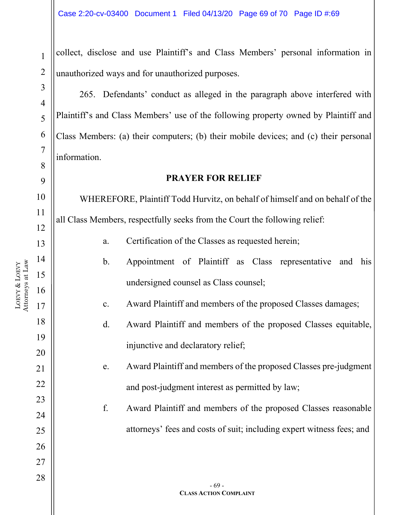collect, disclose and use Plaintiff's and Class Members' personal information in unauthorized ways and for unauthorized purposes.

265. Defendants' conduct as alleged in the paragraph above interfered with Plaintiff's and Class Members' use of the following property owned by Plaintiff and Class Members: (a) their computers; (b) their mobile devices; and (c) their personal information.

#### **PRAYER FOR RELIEF**

WHEREFORE, Plaintiff Todd Hurvitz, on behalf of himself and on behalf of the all Class Members, respectfully seeks from the Court the following relief:

- a. Certification of the Classes as requested herein;
- b. Appointment of Plaintiff as Class representative and his undersigned counsel as Class counsel;
- c. Award Plaintiff and members of the proposed Classes damages;
- d. Award Plaintiff and members of the proposed Classes equitable, injunctive and declaratory relief;
- e. Award Plaintiff and members of the proposed Classes pre-judgment and post-judgment interest as permitted by law;
- f. Award Plaintiff and members of the proposed Classes reasonable attorneys' fees and costs of suit; including expert witness fees; and

1

2

3

4

5

6

7

8

9

10

11

12

13

14

15

16

17

18

19

20

21

22

23

24

25

26

27